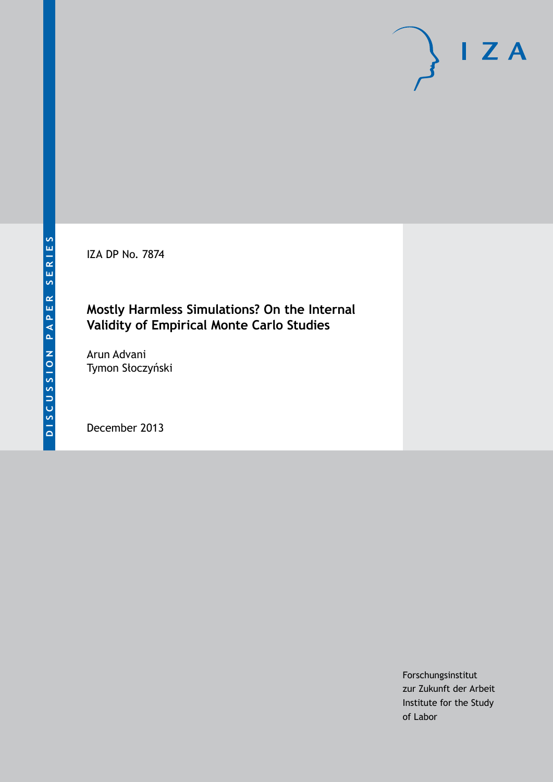IZA DP No. 7874

### **Mostly Harmless Simulations? On the Internal Validity of Empirical Monte Carlo Studies**

Arun Advani Tymon Słoczyński

December 2013

Forschungsinstitut zur Zukunft der Arbeit Institute for the Study of Labor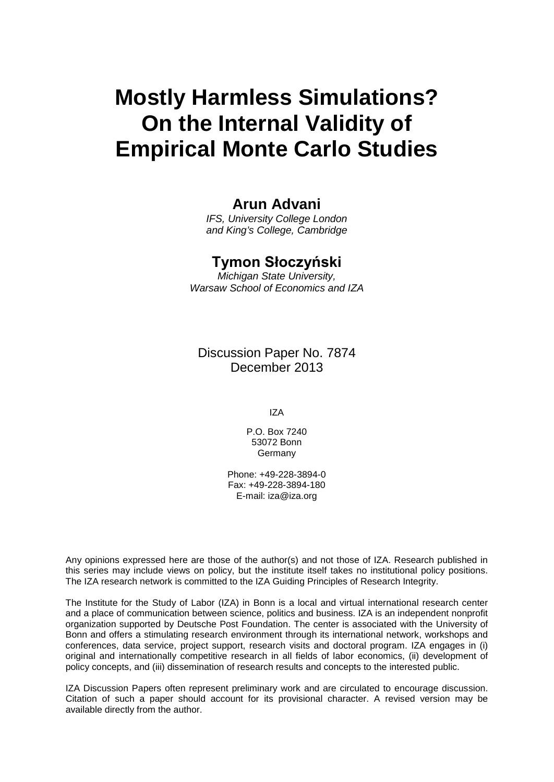# **Mostly Harmless Simulations? On the Internal Validity of Empirical Monte Carlo Studies**

### **Arun Advani**

*IFS, University College London and King's College, Cambridge*

#### **Tymon Słoczyński**

*Michigan State University, Warsaw School of Economics and IZA*

Discussion Paper No. 7874 December 2013

IZA

P.O. Box 7240 53072 Bonn Germany

Phone: +49-228-3894-0 Fax: +49-228-3894-180 E-mail: [iza@iza.org](mailto:iza@iza.org)

Any opinions expressed here are those of the author(s) and not those of IZA. Research published in this series may include views on policy, but the institute itself takes no institutional policy positions. The IZA research network is committed to the IZA Guiding Principles of Research Integrity.

The Institute for the Study of Labor (IZA) in Bonn is a local and virtual international research center and a place of communication between science, politics and business. IZA is an independent nonprofit organization supported by Deutsche Post Foundation. The center is associated with the University of Bonn and offers a stimulating research environment through its international network, workshops and conferences, data service, project support, research visits and doctoral program. IZA engages in (i) original and internationally competitive research in all fields of labor economics, (ii) development of policy concepts, and (iii) dissemination of research results and concepts to the interested public.

<span id="page-1-0"></span>IZA Discussion Papers often represent preliminary work and are circulated to encourage discussion. Citation of such a paper should account for its provisional character. A revised version may be available directly from the author.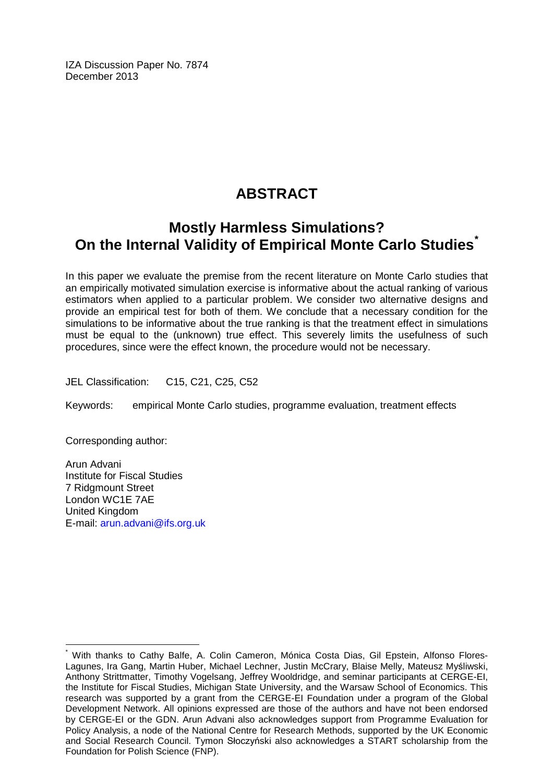IZA Discussion Paper No. 7874 December 2013

# **ABSTRACT**

# **Mostly Harmless Simulations? On the Internal Validity of Empirical Monte Carlo Studies[\\*](#page-1-0)**

In this paper we evaluate the premise from the recent literature on Monte Carlo studies that an empirically motivated simulation exercise is informative about the actual ranking of various estimators when applied to a particular problem. We consider two alternative designs and provide an empirical test for both of them. We conclude that a necessary condition for the simulations to be informative about the true ranking is that the treatment effect in simulations must be equal to the (unknown) true effect. This severely limits the usefulness of such procedures, since were the effect known, the procedure would not be necessary.

JEL Classification: C15, C21, C25, C52

Keywords: empirical Monte Carlo studies, programme evaluation, treatment effects

Corresponding author:

Arun Advani Institute for Fiscal Studies 7 Ridgmount Street London WC1E 7AE United Kingdom E-mail: [arun.advani@ifs.org.uk](mailto:arun.advani@ifs.org.uk)

With thanks to Cathy Balfe, A. Colin Cameron, Mónica Costa Dias, Gil Epstein, Alfonso Flores-Lagunes, Ira Gang, Martin Huber, Michael Lechner, Justin McCrary, Blaise Melly, Mateusz Myśliwski, Anthony Strittmatter, Timothy Vogelsang, Jeffrey Wooldridge, and seminar participants at CERGE-EI, the Institute for Fiscal Studies, Michigan State University, and the Warsaw School of Economics. This research was supported by a grant from the CERGE-EI Foundation under a program of the Global Development Network. All opinions expressed are those of the authors and have not been endorsed by CERGE-EI or the GDN. Arun Advani also acknowledges support from Programme Evaluation for Policy Analysis, a node of the National Centre for Research Methods, supported by the UK Economic and Social Research Council. Tymon Słoczyński also acknowledges a START scholarship from the Foundation for Polish Science (FNP).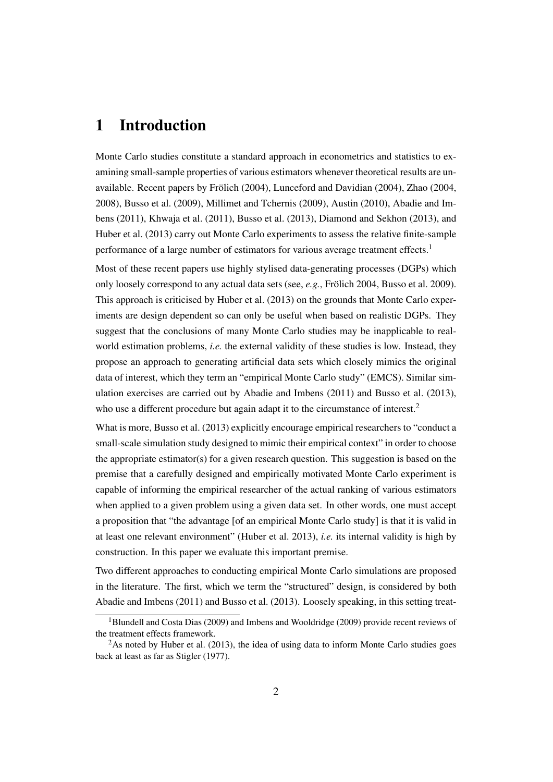### 1 Introduction

Monte Carlo studies constitute a standard approach in econometrics and statistics to examining small-sample properties of various estimators whenever theoretical results are unavailable. Recent papers by [Frölich](#page-20-0) [\(2004\)](#page-20-0), [Lunceford and Davidian](#page-21-0) [\(2004\)](#page-21-0), [Zhao](#page-22-0) [\(2004,](#page-22-0) [2008\)](#page-22-1), [Busso et al.](#page-19-0) [\(2009\)](#page-19-0), [Millimet and Tchernis](#page-21-1) [\(2009\)](#page-21-1), [Austin](#page-19-1) [\(2010\)](#page-19-1), [Abadie and Im](#page-19-2)[bens](#page-19-2) [\(2011\)](#page-19-2), [Khwaja et al.](#page-21-2) [\(2011\)](#page-21-2), [Busso et al.](#page-19-3) [\(2013\)](#page-19-3), [Diamond and Sekhon](#page-20-1) [\(2013\)](#page-20-1), and [Huber et al.](#page-21-3) [\(2013\)](#page-21-3) carry out Monte Carlo experiments to assess the relative finite-sample performance of a large number of estimators for various average treatment effects.<sup>[1](#page-3-0)</sup>

Most of these recent papers use highly stylised data-generating processes (DGPs) which only loosely correspond to any actual data sets (see, *e.g.*, [Frölich](#page-20-0) [2004,](#page-20-0) [Busso et al.](#page-19-0) [2009\)](#page-19-0). This approach is criticised by [Huber et al.](#page-21-3) [\(2013\)](#page-21-3) on the grounds that Monte Carlo experiments are design dependent so can only be useful when based on realistic DGPs. They suggest that the conclusions of many Monte Carlo studies may be inapplicable to realworld estimation problems, *i.e.* the external validity of these studies is low. Instead, they propose an approach to generating artificial data sets which closely mimics the original data of interest, which they term an "empirical Monte Carlo study" (EMCS). Similar simulation exercises are carried out by [Abadie and Imbens](#page-19-2) [\(2011\)](#page-19-2) and [Busso et al.](#page-19-3) [\(2013\)](#page-19-3), who use a different procedure but again adapt it to the circumstance of interest.<sup>[2](#page-3-1)</sup>

What is more, [Busso et al.](#page-19-3) [\(2013\)](#page-19-3) explicitly encourage empirical researchers to "conduct a small-scale simulation study designed to mimic their empirical context" in order to choose the appropriate estimator(s) for a given research question. This suggestion is based on the premise that a carefully designed and empirically motivated Monte Carlo experiment is capable of informing the empirical researcher of the actual ranking of various estimators when applied to a given problem using a given data set. In other words, one must accept a proposition that "the advantage [of an empirical Monte Carlo study] is that it is valid in at least one relevant environment" [\(Huber et al.](#page-21-3) [2013\)](#page-21-3), *i.e.* its internal validity is high by construction. In this paper we evaluate this important premise.

Two different approaches to conducting empirical Monte Carlo simulations are proposed in the literature. The first, which we term the "structured" design, is considered by both [Abadie and Imbens](#page-19-2) [\(2011\)](#page-19-2) and [Busso et al.](#page-19-3) [\(2013\)](#page-19-3). Loosely speaking, in this setting treat-

<span id="page-3-0"></span><sup>&</sup>lt;sup>1</sup>[Blundell and Costa Dias](#page-19-4) [\(2009\)](#page-21-4) and [Imbens and Wooldridge](#page-21-4) (2009) provide recent reviews of the treatment effects framework.

<span id="page-3-1"></span> $2$ As noted by [Huber et al.](#page-21-3) [\(2013\)](#page-21-3), the idea of using data to inform Monte Carlo studies goes back at least as far as [Stigler](#page-22-2) [\(1977\)](#page-22-2).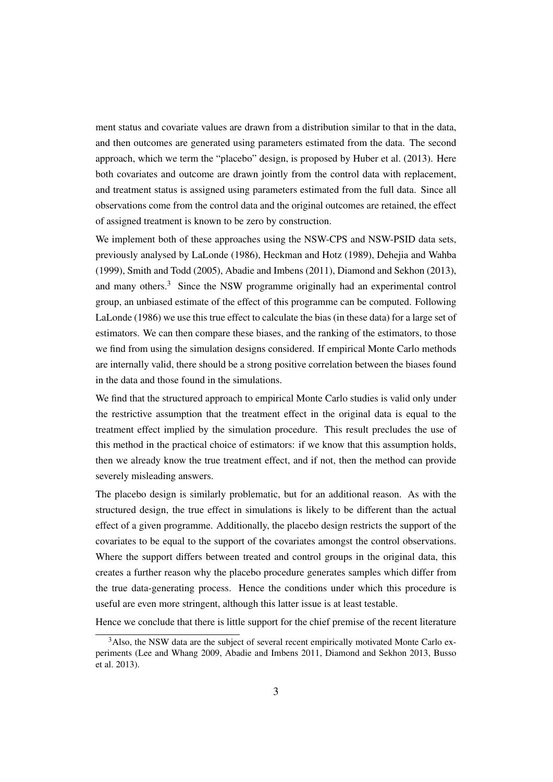ment status and covariate values are drawn from a distribution similar to that in the data, and then outcomes are generated using parameters estimated from the data. The second approach, which we term the "placebo" design, is proposed by [Huber et al.](#page-21-3) [\(2013\)](#page-21-3). Here both covariates and outcome are drawn jointly from the control data with replacement, and treatment status is assigned using parameters estimated from the full data. Since all observations come from the control data and the original outcomes are retained, the effect of assigned treatment is known to be zero by construction.

We implement both of these approaches using the NSW-CPS and NSW-PSID data sets, previously analysed by [LaLonde](#page-21-5) [\(1986\)](#page-21-5), [Heckman and Hotz](#page-20-2) [\(1989\)](#page-20-2), [Dehejia and Wahba](#page-20-3) [\(1999\)](#page-20-3), [Smith and Todd](#page-22-3) [\(2005\)](#page-22-3), [Abadie and Imbens](#page-19-2) [\(2011\)](#page-19-2), [Diamond and Sekhon](#page-20-1) [\(2013\)](#page-20-1), and many others.<sup>[3](#page-4-0)</sup> Since the NSW programme originally had an experimental control group, an unbiased estimate of the effect of this programme can be computed. Following [LaLonde](#page-21-5) [\(1986\)](#page-21-5) we use this true effect to calculate the bias (in these data) for a large set of estimators. We can then compare these biases, and the ranking of the estimators, to those we find from using the simulation designs considered. If empirical Monte Carlo methods are internally valid, there should be a strong positive correlation between the biases found in the data and those found in the simulations.

We find that the structured approach to empirical Monte Carlo studies is valid only under the restrictive assumption that the treatment effect in the original data is equal to the treatment effect implied by the simulation procedure. This result precludes the use of this method in the practical choice of estimators: if we know that this assumption holds, then we already know the true treatment effect, and if not, then the method can provide severely misleading answers.

The placebo design is similarly problematic, but for an additional reason. As with the structured design, the true effect in simulations is likely to be different than the actual effect of a given programme. Additionally, the placebo design restricts the support of the covariates to be equal to the support of the covariates amongst the control observations. Where the support differs between treated and control groups in the original data, this creates a further reason why the placebo procedure generates samples which differ from the true data-generating process. Hence the conditions under which this procedure is useful are even more stringent, although this latter issue is at least testable.

Hence we conclude that there is little support for the chief premise of the recent literature

<span id="page-4-0"></span><sup>&</sup>lt;sup>3</sup>Also, the NSW data are the subject of several recent empirically motivated Monte Carlo experiments [\(Lee and Whang](#page-21-6) [2009,](#page-21-6) [Abadie and Imbens](#page-19-2) [2011,](#page-19-2) [Diamond and Sekhon](#page-20-1) [2013,](#page-20-1) [Busso](#page-19-3) [et al.](#page-19-3) [2013\)](#page-19-3).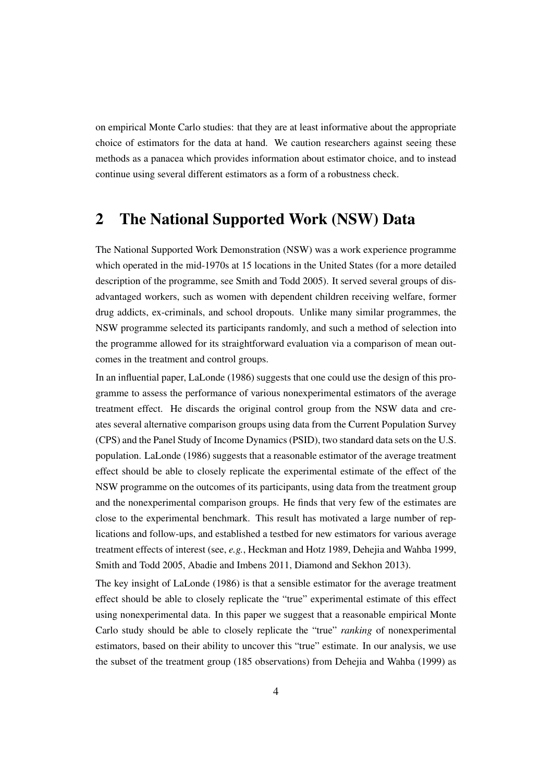on empirical Monte Carlo studies: that they are at least informative about the appropriate choice of estimators for the data at hand. We caution researchers against seeing these methods as a panacea which provides information about estimator choice, and to instead continue using several different estimators as a form of a robustness check.

# 2 The National Supported Work (NSW) Data

The National Supported Work Demonstration (NSW) was a work experience programme which operated in the mid-1970s at 15 locations in the United States (for a more detailed description of the programme, see [Smith and Todd](#page-22-3) [2005\)](#page-22-3). It served several groups of disadvantaged workers, such as women with dependent children receiving welfare, former drug addicts, ex-criminals, and school dropouts. Unlike many similar programmes, the NSW programme selected its participants randomly, and such a method of selection into the programme allowed for its straightforward evaluation via a comparison of mean outcomes in the treatment and control groups.

In an influential paper, [LaLonde](#page-21-5) [\(1986\)](#page-21-5) suggests that one could use the design of this programme to assess the performance of various nonexperimental estimators of the average treatment effect. He discards the original control group from the NSW data and creates several alternative comparison groups using data from the Current Population Survey (CPS) and the Panel Study of Income Dynamics (PSID), two standard data sets on the U.S. population. [LaLonde](#page-21-5) [\(1986\)](#page-21-5) suggests that a reasonable estimator of the average treatment effect should be able to closely replicate the experimental estimate of the effect of the NSW programme on the outcomes of its participants, using data from the treatment group and the nonexperimental comparison groups. He finds that very few of the estimates are close to the experimental benchmark. This result has motivated a large number of replications and follow-ups, and established a testbed for new estimators for various average treatment effects of interest (see, *e.g.*, [Heckman and Hotz](#page-20-2) [1989,](#page-20-2) [Dehejia and Wahba](#page-20-3) [1999,](#page-20-3) [Smith and Todd](#page-22-3) [2005,](#page-22-3) [Abadie and Imbens](#page-19-2) [2011,](#page-19-2) [Diamond and Sekhon](#page-20-1) [2013\)](#page-20-1).

The key insight of [LaLonde](#page-21-5) [\(1986\)](#page-21-5) is that a sensible estimator for the average treatment effect should be able to closely replicate the "true" experimental estimate of this effect using nonexperimental data. In this paper we suggest that a reasonable empirical Monte Carlo study should be able to closely replicate the "true" *ranking* of nonexperimental estimators, based on their ability to uncover this "true" estimate. In our analysis, we use the subset of the treatment group (185 observations) from [Dehejia and Wahba](#page-20-3) [\(1999\)](#page-20-3) as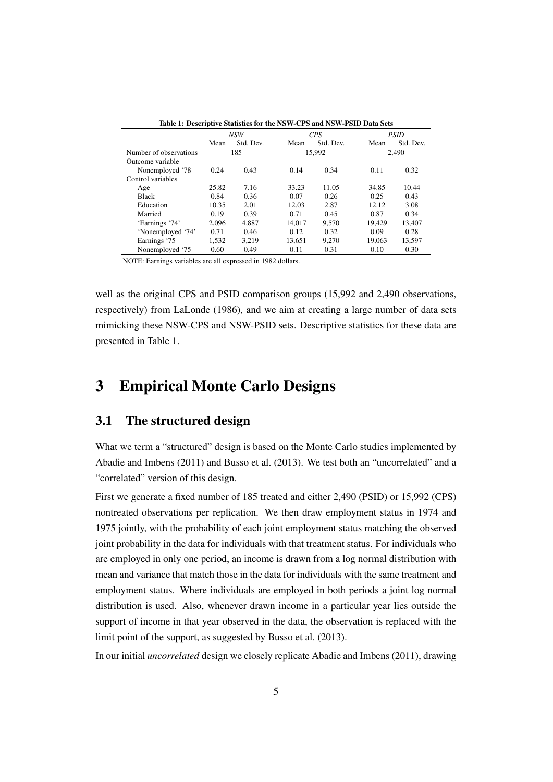<span id="page-6-0"></span>

|                        |       | <b>NSW</b> |        | <b>CPS</b> |        | <b>PSID</b> |
|------------------------|-------|------------|--------|------------|--------|-------------|
|                        | Mean  | Std. Dev.  | Mean   | Std. Dev.  | Mean   | Std. Dev.   |
| Number of observations |       | 185        |        | 15.992     |        | 2.490       |
| Outcome variable       |       |            |        |            |        |             |
| Nonemployed '78        | 0.24  | 0.43       | 0.14   | 0.34       | 0.11   | 0.32        |
| Control variables      |       |            |        |            |        |             |
| Age                    | 25.82 | 7.16       | 33.23  | 11.05      | 34.85  | 10.44       |
| <b>Black</b>           | 0.84  | 0.36       | 0.07   | 0.26       | 0.25   | 0.43        |
| Education              | 10.35 | 2.01       | 12.03  | 2.87       | 12.12  | 3.08        |
| Married                | 0.19  | 0.39       | 0.71   | 0.45       | 0.87   | 0.34        |
| 'Earnings '74'         | 2.096 | 4.887      | 14.017 | 9.570      | 19.429 | 13.407      |
| 'Nonemployed '74'      | 0.71  | 0.46       | 0.12   | 0.32       | 0.09   | 0.28        |
| Earnings '75           | 1.532 | 3.219      | 13.651 | 9.270      | 19.063 | 13.597      |
| Nonemployed '75        | 0.60  | 0.49       | 0.11   | 0.31       | 0.10   | 0.30        |

Table 1: Descriptive Statistics for the NSW-CPS and NSW-PSID Data Sets

NOTE: Earnings variables are all expressed in 1982 dollars.

well as the original CPS and PSID comparison groups (15,992 and 2,490 observations, respectively) from [LaLonde](#page-21-5) [\(1986\)](#page-21-5), and we aim at creating a large number of data sets mimicking these NSW-CPS and NSW-PSID sets. Descriptive statistics for these data are presented in Table [1.](#page-6-0)

### <span id="page-6-1"></span>3 Empirical Monte Carlo Designs

#### 3.1 The structured design

What we term a "structured" design is based on the Monte Carlo studies implemented by [Abadie and Imbens](#page-19-2) [\(2011\)](#page-19-2) and [Busso et al.](#page-19-3) [\(2013\)](#page-19-3). We test both an "uncorrelated" and a "correlated" version of this design.

First we generate a fixed number of 185 treated and either 2,490 (PSID) or 15,992 (CPS) nontreated observations per replication. We then draw employment status in 1974 and 1975 jointly, with the probability of each joint employment status matching the observed joint probability in the data for individuals with that treatment status. For individuals who are employed in only one period, an income is drawn from a log normal distribution with mean and variance that match those in the data for individuals with the same treatment and employment status. Where individuals are employed in both periods a joint log normal distribution is used. Also, whenever drawn income in a particular year lies outside the support of income in that year observed in the data, the observation is replaced with the limit point of the support, as suggested by [Busso et al.](#page-19-3) [\(2013\)](#page-19-3).

In our initial *uncorrelated* design we closely replicate [Abadie and Imbens](#page-19-2) [\(2011\)](#page-19-2), drawing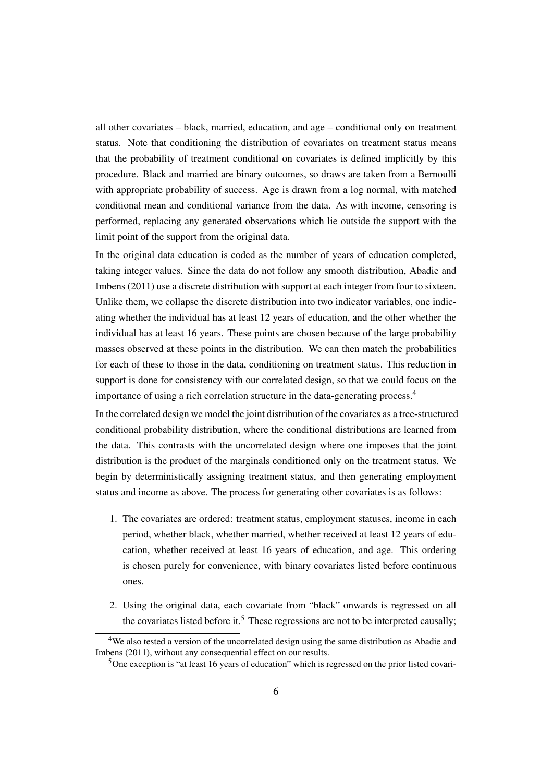all other covariates – black, married, education, and age – conditional only on treatment status. Note that conditioning the distribution of covariates on treatment status means that the probability of treatment conditional on covariates is defined implicitly by this procedure. Black and married are binary outcomes, so draws are taken from a Bernoulli with appropriate probability of success. Age is drawn from a log normal, with matched conditional mean and conditional variance from the data. As with income, censoring is performed, replacing any generated observations which lie outside the support with the limit point of the support from the original data.

In the original data education is coded as the number of years of education completed, taking integer values. Since the data do not follow any smooth distribution, [Abadie and](#page-19-2) [Imbens](#page-19-2) [\(2011\)](#page-19-2) use a discrete distribution with support at each integer from four to sixteen. Unlike them, we collapse the discrete distribution into two indicator variables, one indicating whether the individual has at least 12 years of education, and the other whether the individual has at least 16 years. These points are chosen because of the large probability masses observed at these points in the distribution. We can then match the probabilities for each of these to those in the data, conditioning on treatment status. This reduction in support is done for consistency with our correlated design, so that we could focus on the importance of using a rich correlation structure in the data-generating process.[4](#page-7-0)

In the correlated design we model the joint distribution of the covariates as a tree-structured conditional probability distribution, where the conditional distributions are learned from the data. This contrasts with the uncorrelated design where one imposes that the joint distribution is the product of the marginals conditioned only on the treatment status. We begin by deterministically assigning treatment status, and then generating employment status and income as above. The process for generating other covariates is as follows:

- 1. The covariates are ordered: treatment status, employment statuses, income in each period, whether black, whether married, whether received at least 12 years of education, whether received at least 16 years of education, and age. This ordering is chosen purely for convenience, with binary covariates listed before continuous ones.
- 2. Using the original data, each covariate from "black" onwards is regressed on all the covariates listed before it.<sup>[5](#page-7-1)</sup> These regressions are not to be interpreted causally;

<span id="page-7-0"></span><sup>&</sup>lt;sup>4</sup>We also tested a version of the uncorrelated design using the same distribution as [Abadie and](#page-19-2) [Imbens](#page-19-2) [\(2011\)](#page-19-2), without any consequential effect on our results.

<span id="page-7-1"></span><sup>5</sup>One exception is "at least 16 years of education" which is regressed on the prior listed covari-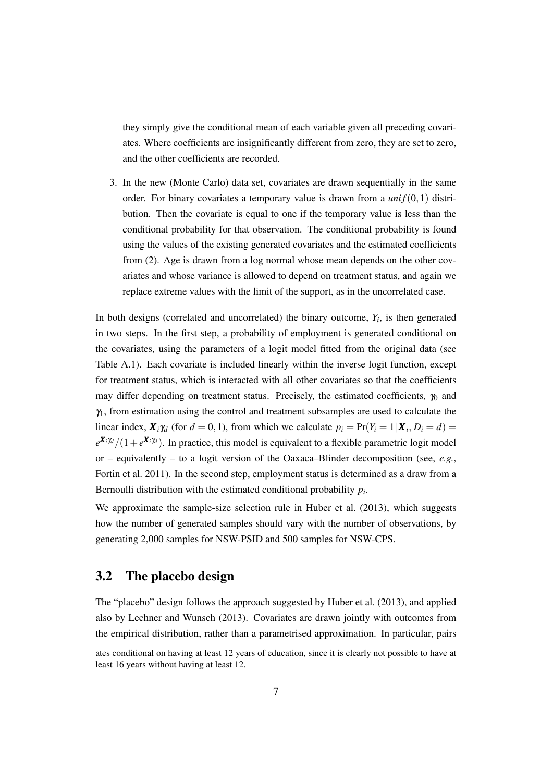they simply give the conditional mean of each variable given all preceding covariates. Where coefficients are insignificantly different from zero, they are set to zero, and the other coefficients are recorded.

3. In the new (Monte Carlo) data set, covariates are drawn sequentially in the same order. For binary covariates a temporary value is drawn from a  $unif(0,1)$  distribution. Then the covariate is equal to one if the temporary value is less than the conditional probability for that observation. The conditional probability is found using the values of the existing generated covariates and the estimated coefficients from (2). Age is drawn from a log normal whose mean depends on the other covariates and whose variance is allowed to depend on treatment status, and again we replace extreme values with the limit of the support, as in the uncorrelated case.

In both designs (correlated and uncorrelated) the binary outcome,  $Y_i$ , is then generated in two steps. In the first step, a probability of employment is generated conditional on the covariates, using the parameters of a logit model fitted from the original data (see Table [A.1\)](#page-23-0). Each covariate is included linearly within the inverse logit function, except for treatment status, which is interacted with all other covariates so that the coefficients may differ depending on treatment status. Precisely, the estimated coefficients,  $\gamma_0$  and  $\gamma_1$ , from estimation using the control and treatment subsamples are used to calculate the linear index,  $\mathbf{X}_i \gamma_d$  (for  $d = 0, 1$ ), from which we calculate  $p_i = \Pr(Y_i = 1 | \mathbf{X}_i, D_i = d)$  $e^{X_i \gamma_d}/(1+e^{X_i \gamma_d})$ . In practice, this model is equivalent to a flexible parametric logit model or – equivalently – to a logit version of the Oaxaca–Blinder decomposition (see, *e.g.*, [Fortin et al.](#page-20-4) [2011\)](#page-20-4). In the second step, employment status is determined as a draw from a Bernoulli distribution with the estimated conditional probability *p<sup>i</sup>* .

We approximate the sample-size selection rule in [Huber et al.](#page-21-3) [\(2013\)](#page-21-3), which suggests how the number of generated samples should vary with the number of observations, by generating 2,000 samples for NSW-PSID and 500 samples for NSW-CPS.

#### 3.2 The placebo design

The "placebo" design follows the approach suggested by [Huber et al.](#page-21-3) [\(2013\)](#page-21-3), and applied also by [Lechner and Wunsch](#page-21-7) [\(2013\)](#page-21-7). Covariates are drawn jointly with outcomes from the empirical distribution, rather than a parametrised approximation. In particular, pairs

ates conditional on having at least 12 years of education, since it is clearly not possible to have at least 16 years without having at least 12.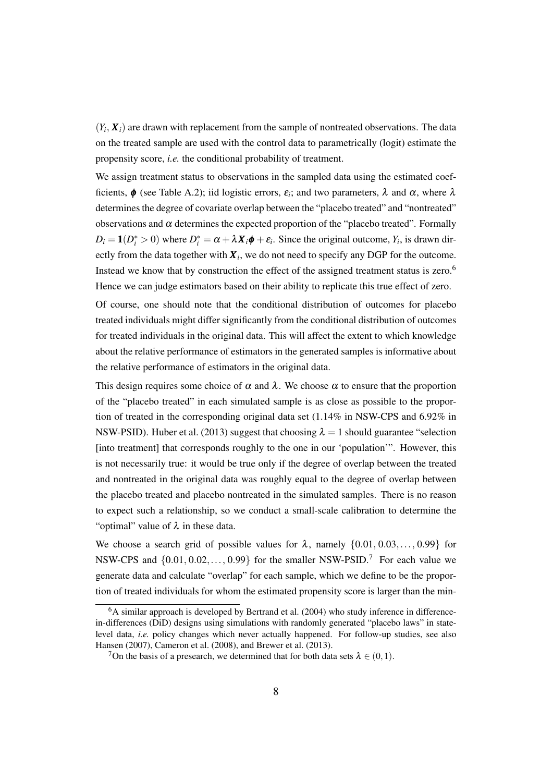$(Y_i, X_i)$  are drawn with replacement from the sample of nontreated observations. The data on the treated sample are used with the control data to parametrically (logit) estimate the propensity score, *i.e.* the conditional probability of treatment.

We assign treatment status to observations in the sampled data using the estimated coefficients,  $\phi$  (see Table [A.2\)](#page-23-1); iid logistic errors,  $\varepsilon_i$ ; and two parameters,  $\lambda$  and  $\alpha$ , where  $\lambda$ determines the degree of covariate overlap between the "placebo treated" and "nontreated" observations and  $\alpha$  determines the expected proportion of the "placebo treated". Formally  $D_i = \mathbf{1}(D_i^* > 0)$  where  $D_i^* = \alpha + \lambda \mathbf{X}_i \phi + \varepsilon_i$ . Since the original outcome,  $Y_i$ , is drawn directly from the data together with  $\boldsymbol{X}_i$ , we do not need to specify any DGP for the outcome. Instead we know that by construction the effect of the assigned treatment status is zero.[6](#page-9-0) Hence we can judge estimators based on their ability to replicate this true effect of zero.

Of course, one should note that the conditional distribution of outcomes for placebo treated individuals might differ significantly from the conditional distribution of outcomes for treated individuals in the original data. This will affect the extent to which knowledge about the relative performance of estimators in the generated samples is informative about the relative performance of estimators in the original data.

This design requires some choice of  $\alpha$  and  $\lambda$ . We choose  $\alpha$  to ensure that the proportion of the "placebo treated" in each simulated sample is as close as possible to the proportion of treated in the corresponding original data set (1.14% in NSW-CPS and 6.92% in NSW-PSID). [Huber et al.](#page-21-3) [\(2013\)](#page-21-3) suggest that choosing  $\lambda = 1$  should guarantee "selection [into treatment] that corresponds roughly to the one in our 'population'". However, this is not necessarily true: it would be true only if the degree of overlap between the treated and nontreated in the original data was roughly equal to the degree of overlap between the placebo treated and placebo nontreated in the simulated samples. There is no reason to expect such a relationship, so we conduct a small-scale calibration to determine the "optimal" value of  $\lambda$  in these data.

We choose a search grid of possible values for  $\lambda$ , namely  $\{0.01, 0.03, \ldots, 0.99\}$  for NSW-CPS and  $\{0.01, 0.02, \ldots, 0.99\}$  for the smaller NSW-PSID.<sup>[7](#page-9-1)</sup> For each value we generate data and calculate "overlap" for each sample, which we define to be the proportion of treated individuals for whom the estimated propensity score is larger than the min-

<span id="page-9-0"></span> $6A$  similar approach is developed by [Bertrand et al.](#page-19-5) [\(2004\)](#page-19-5) who study inference in differencein-differences (DiD) designs using simulations with randomly generated "placebo laws" in statelevel data, *i.e.* policy changes which never actually happened. For follow-up studies, see also [Hansen](#page-20-5) [\(2007\)](#page-20-5), [Cameron et al.](#page-19-6) [\(2008\)](#page-19-6), and [Brewer et al.](#page-19-7) [\(2013\)](#page-19-7).

<span id="page-9-1"></span><sup>&</sup>lt;sup>7</sup>On the basis of a presearch, we determined that for both data sets  $\lambda \in (0,1)$ .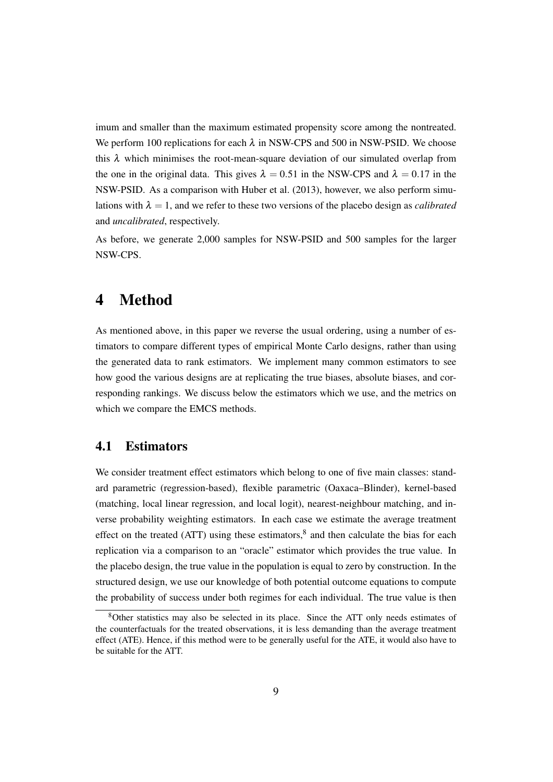imum and smaller than the maximum estimated propensity score among the nontreated. We perform 100 replications for each  $\lambda$  in NSW-CPS and 500 in NSW-PSID. We choose this  $\lambda$  which minimises the root-mean-square deviation of our simulated overlap from the one in the original data. This gives  $\lambda = 0.51$  in the NSW-CPS and  $\lambda = 0.17$  in the NSW-PSID. As a comparison with [Huber et al.](#page-21-3) [\(2013\)](#page-21-3), however, we also perform simulations with  $\lambda = 1$ , and we refer to these two versions of the placebo design as *calibrated* and *uncalibrated*, respectively.

As before, we generate 2,000 samples for NSW-PSID and 500 samples for the larger NSW-CPS.

### 4 Method

As mentioned above, in this paper we reverse the usual ordering, using a number of estimators to compare different types of empirical Monte Carlo designs, rather than using the generated data to rank estimators. We implement many common estimators to see how good the various designs are at replicating the true biases, absolute biases, and corresponding rankings. We discuss below the estimators which we use, and the metrics on which we compare the EMCS methods.

#### 4.1 Estimators

We consider treatment effect estimators which belong to one of five main classes: standard parametric (regression-based), flexible parametric (Oaxaca–Blinder), kernel-based (matching, local linear regression, and local logit), nearest-neighbour matching, and inverse probability weighting estimators. In each case we estimate the average treatment effect on the treated (ATT) using these estimators, ${}^{8}$  ${}^{8}$  ${}^{8}$  and then calculate the bias for each replication via a comparison to an "oracle" estimator which provides the true value. In the placebo design, the true value in the population is equal to zero by construction. In the structured design, we use our knowledge of both potential outcome equations to compute the probability of success under both regimes for each individual. The true value is then

<span id="page-10-0"></span><sup>8</sup>Other statistics may also be selected in its place. Since the ATT only needs estimates of the counterfactuals for the treated observations, it is less demanding than the average treatment effect (ATE). Hence, if this method were to be generally useful for the ATE, it would also have to be suitable for the ATT.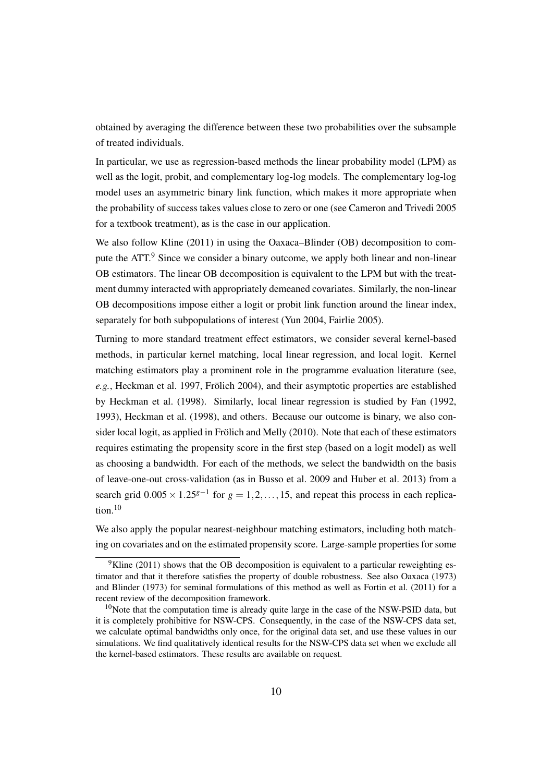obtained by averaging the difference between these two probabilities over the subsample of treated individuals.

In particular, we use as regression-based methods the linear probability model (LPM) as well as the logit, probit, and complementary log-log models. The complementary log-log model uses an asymmetric binary link function, which makes it more appropriate when the probability of success takes values close to zero or one (see [Cameron and Trivedi](#page-19-8) [2005](#page-19-8) for a textbook treatment), as is the case in our application.

We also follow [Kline](#page-21-8) [\(2011\)](#page-21-8) in using the Oaxaca–Blinder (OB) decomposition to com-pute the ATT.<sup>[9](#page-11-0)</sup> Since we consider a binary outcome, we apply both linear and non-linear OB estimators. The linear OB decomposition is equivalent to the LPM but with the treatment dummy interacted with appropriately demeaned covariates. Similarly, the non-linear OB decompositions impose either a logit or probit link function around the linear index, separately for both subpopulations of interest [\(Yun](#page-22-4) [2004,](#page-22-4) [Fairlie](#page-20-6) [2005\)](#page-20-6).

Turning to more standard treatment effect estimators, we consider several kernel-based methods, in particular kernel matching, local linear regression, and local logit. Kernel matching estimators play a prominent role in the programme evaluation literature (see, *e.g.*, [Heckman et al.](#page-20-7) [1997,](#page-20-7) [Frölich](#page-20-0) [2004\)](#page-20-0), and their asymptotic properties are established by [Heckman et al.](#page-20-8) [\(1998\)](#page-20-8). Similarly, local linear regression is studied by [Fan](#page-20-9) [\(1992,](#page-20-9) [1993\)](#page-20-10), [Heckman et al.](#page-20-8) [\(1998\)](#page-20-8), and others. Because our outcome is binary, we also consider local logit, as applied in [Frölich and Melly](#page-20-11) [\(2010\)](#page-20-11). Note that each of these estimators requires estimating the propensity score in the first step (based on a logit model) as well as choosing a bandwidth. For each of the methods, we select the bandwidth on the basis of leave-one-out cross-validation (as in [Busso et al.](#page-19-0) [2009](#page-19-0) and [Huber et al.](#page-21-3) [2013\)](#page-21-3) from a search grid  $0.005 \times 1.25^{g-1}$  for  $g = 1, 2, ..., 15$ , and repeat this process in each replication.[10](#page-11-1)

We also apply the popular nearest-neighbour matching estimators, including both matching on covariates and on the estimated propensity score. Large-sample properties for some

<span id="page-11-0"></span> $9$ [Kline](#page-21-8) [\(2011\)](#page-21-8) shows that the OB decomposition is equivalent to a particular reweighting estimator and that it therefore satisfies the property of double robustness. See also [Oaxaca](#page-21-9) [\(1973\)](#page-21-9) and [Blinder](#page-19-9) [\(1973\)](#page-19-9) for seminal formulations of this method as well as [Fortin et al.](#page-20-4) [\(2011\)](#page-20-4) for a recent review of the decomposition framework.

<span id="page-11-1"></span> $10$ Note that the computation time is already quite large in the case of the NSW-PSID data, but it is completely prohibitive for NSW-CPS. Consequently, in the case of the NSW-CPS data set, we calculate optimal bandwidths only once, for the original data set, and use these values in our simulations. We find qualitatively identical results for the NSW-CPS data set when we exclude all the kernel-based estimators. These results are available on request.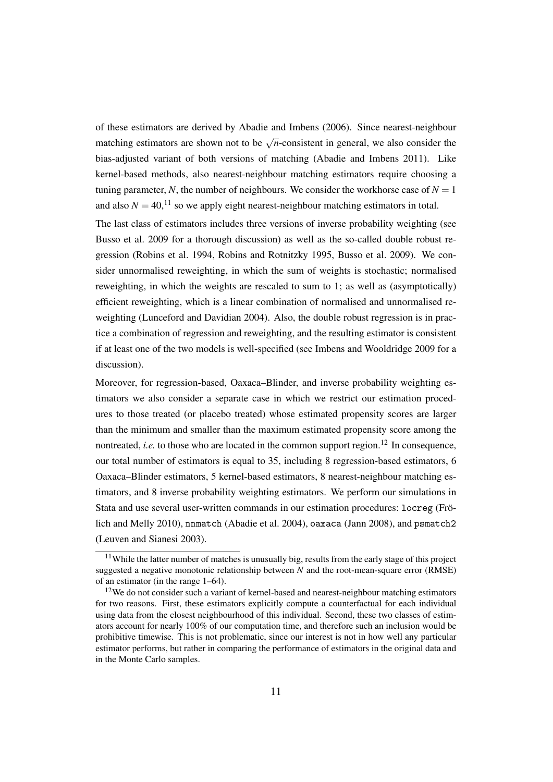of these estimators are derived by [Abadie and Imbens](#page-19-10) [\(2006\)](#page-19-10). Since nearest-neighbour matching estimators are shown not to be  $\sqrt{n}$ -consistent in general, we also consider the bias-adjusted variant of both versions of matching [\(Abadie and Imbens](#page-19-2) [2011\)](#page-19-2). Like kernel-based methods, also nearest-neighbour matching estimators require choosing a tuning parameter, N, the number of neighbours. We consider the workhorse case of  $N = 1$ and also  $N = 40$ ,<sup>[11](#page-12-0)</sup> so we apply eight nearest-neighbour matching estimators in total.

The last class of estimators includes three versions of inverse probability weighting (see [Busso et al.](#page-19-0) [2009](#page-19-0) for a thorough discussion) as well as the so-called double robust regression [\(Robins et al.](#page-22-5) [1994,](#page-22-5) [Robins and Rotnitzky](#page-22-6) [1995,](#page-22-6) [Busso et al.](#page-19-0) [2009\)](#page-19-0). We consider unnormalised reweighting, in which the sum of weights is stochastic; normalised reweighting, in which the weights are rescaled to sum to 1; as well as (asymptotically) efficient reweighting, which is a linear combination of normalised and unnormalised reweighting [\(Lunceford and Davidian](#page-21-0) [2004\)](#page-21-0). Also, the double robust regression is in practice a combination of regression and reweighting, and the resulting estimator is consistent if at least one of the two models is well-specified (see [Imbens and Wooldridge](#page-21-4) [2009](#page-21-4) for a discussion).

Moreover, for regression-based, Oaxaca–Blinder, and inverse probability weighting estimators we also consider a separate case in which we restrict our estimation procedures to those treated (or placebo treated) whose estimated propensity scores are larger than the minimum and smaller than the maximum estimated propensity score among the nontreated, *i.e.* to those who are located in the common support region.<sup>[12](#page-12-1)</sup> In consequence, our total number of estimators is equal to 35, including 8 regression-based estimators, 6 Oaxaca–Blinder estimators, 5 kernel-based estimators, 8 nearest-neighbour matching estimators, and 8 inverse probability weighting estimators. We perform our simulations in Stata and use several user-written commands in our estimation procedures: locreg [\(Frö](#page-20-11)[lich and Melly](#page-20-11) [2010\)](#page-20-11), nnmatch [\(Abadie et al.](#page-19-11) [2004\)](#page-19-11), oaxaca [\(Jann](#page-21-10) [2008\)](#page-21-10), and psmatch2 [\(Leuven and Sianesi](#page-21-11) [2003\)](#page-21-11).

<span id="page-12-0"></span><sup>&</sup>lt;sup>11</sup>While the latter number of matches is unusually big, results from the early stage of this project suggested a negative monotonic relationship between *N* and the root-mean-square error (RMSE) of an estimator (in the range 1–64).

<span id="page-12-1"></span> $12$ We do not consider such a variant of kernel-based and nearest-neighbour matching estimators for two reasons. First, these estimators explicitly compute a counterfactual for each individual using data from the closest neighbourhood of this individual. Second, these two classes of estimators account for nearly 100% of our computation time, and therefore such an inclusion would be prohibitive timewise. This is not problematic, since our interest is not in how well any particular estimator performs, but rather in comparing the performance of estimators in the original data and in the Monte Carlo samples.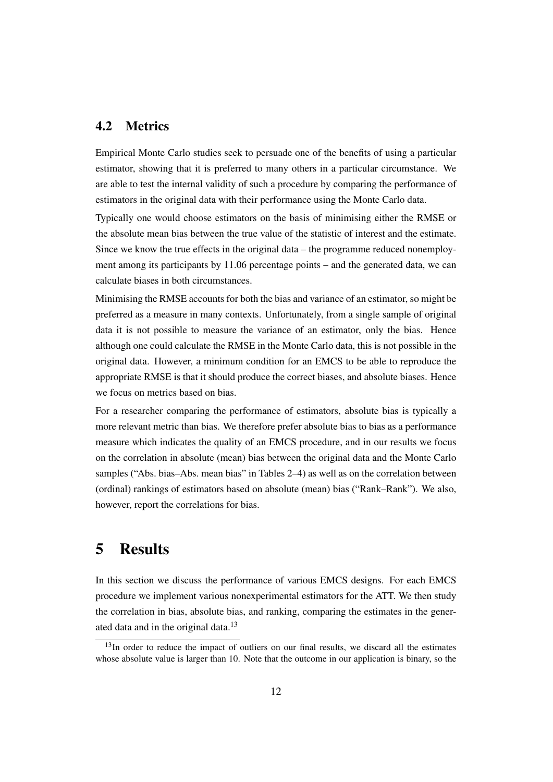#### 4.2 Metrics

Empirical Monte Carlo studies seek to persuade one of the benefits of using a particular estimator, showing that it is preferred to many others in a particular circumstance. We are able to test the internal validity of such a procedure by comparing the performance of estimators in the original data with their performance using the Monte Carlo data.

Typically one would choose estimators on the basis of minimising either the RMSE or the absolute mean bias between the true value of the statistic of interest and the estimate. Since we know the true effects in the original data – the programme reduced nonemployment among its participants by 11.06 percentage points – and the generated data, we can calculate biases in both circumstances.

Minimising the RMSE accounts for both the bias and variance of an estimator, so might be preferred as a measure in many contexts. Unfortunately, from a single sample of original data it is not possible to measure the variance of an estimator, only the bias. Hence although one could calculate the RMSE in the Monte Carlo data, this is not possible in the original data. However, a minimum condition for an EMCS to be able to reproduce the appropriate RMSE is that it should produce the correct biases, and absolute biases. Hence we focus on metrics based on bias.

For a researcher comparing the performance of estimators, absolute bias is typically a more relevant metric than bias. We therefore prefer absolute bias to bias as a performance measure which indicates the quality of an EMCS procedure, and in our results we focus on the correlation in absolute (mean) bias between the original data and the Monte Carlo samples ("Abs. bias–Abs. mean bias" in Tables [2–](#page-15-0)[4\)](#page-17-0) as well as on the correlation between (ordinal) rankings of estimators based on absolute (mean) bias ("Rank–Rank"). We also, however, report the correlations for bias.

### 5 Results

In this section we discuss the performance of various EMCS designs. For each EMCS procedure we implement various nonexperimental estimators for the ATT. We then study the correlation in bias, absolute bias, and ranking, comparing the estimates in the generated data and in the original data. $13$ 

<span id="page-13-0"></span> $13$ In order to reduce the impact of outliers on our final results, we discard all the estimates whose absolute value is larger than 10. Note that the outcome in our application is binary, so the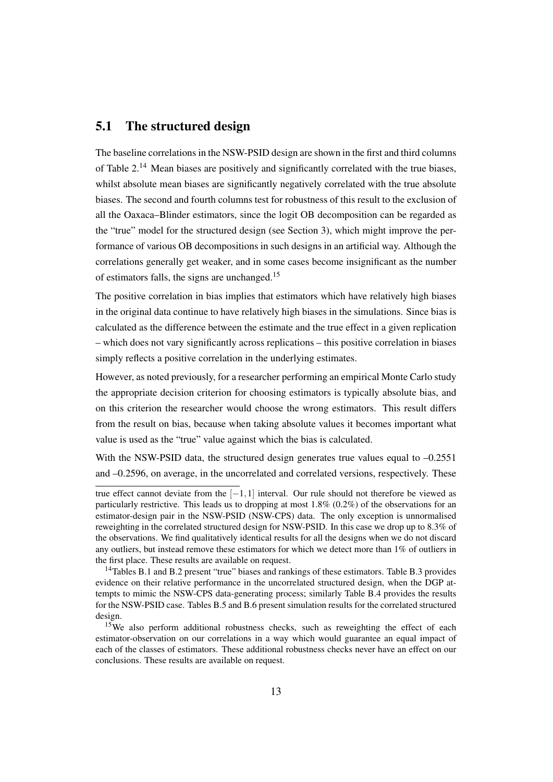#### 5.1 The structured design

The baseline correlations in the NSW-PSID design are shown in the first and third columns of Table  $2<sup>14</sup>$  $2<sup>14</sup>$  $2<sup>14</sup>$  Mean biases are positively and significantly correlated with the true biases, whilst absolute mean biases are significantly negatively correlated with the true absolute biases. The second and fourth columns test for robustness of this result to the exclusion of all the Oaxaca–Blinder estimators, since the logit OB decomposition can be regarded as the "true" model for the structured design (see Section [3\)](#page-6-1), which might improve the performance of various OB decompositions in such designs in an artificial way. Although the correlations generally get weaker, and in some cases become insignificant as the number of estimators falls, the signs are unchanged.[15](#page-14-1)

The positive correlation in bias implies that estimators which have relatively high biases in the original data continue to have relatively high biases in the simulations. Since bias is calculated as the difference between the estimate and the true effect in a given replication – which does not vary significantly across replications – this positive correlation in biases simply reflects a positive correlation in the underlying estimates.

However, as noted previously, for a researcher performing an empirical Monte Carlo study the appropriate decision criterion for choosing estimators is typically absolute bias, and on this criterion the researcher would choose the wrong estimators. This result differs from the result on bias, because when taking absolute values it becomes important what value is used as the "true" value against which the bias is calculated.

With the NSW-PSID data, the structured design generates true values equal to  $-0.2551$ and –0.2596, on average, in the uncorrelated and correlated versions, respectively. These

true effect cannot deviate from the [−1,1] interval. Our rule should not therefore be viewed as particularly restrictive. This leads us to dropping at most 1.8% (0.2%) of the observations for an estimator-design pair in the NSW-PSID (NSW-CPS) data. The only exception is unnormalised reweighting in the correlated structured design for NSW-PSID. In this case we drop up to 8.3% of the observations. We find qualitatively identical results for all the designs when we do not discard any outliers, but instead remove these estimators for which we detect more than 1% of outliers in the first place. These results are available on request.

<span id="page-14-0"></span><sup>14</sup>Tables [B.1](#page-25-0) and [B.2](#page-26-0) present "true" biases and rankings of these estimators. Table [B.3](#page-27-0) provides evidence on their relative performance in the uncorrelated structured design, when the DGP attempts to mimic the NSW-CPS data-generating process; similarly Table [B.4](#page-28-0) provides the results for the NSW-PSID case. Tables [B.5](#page-29-0) and [B.6](#page-30-0) present simulation results for the correlated structured design

<span id="page-14-1"></span><sup>&</sup>lt;sup>15</sup>We also perform additional robustness checks, such as reweighting the effect of each estimator-observation on our correlations in a way which would guarantee an equal impact of each of the classes of estimators. These additional robustness checks never have an effect on our conclusions. These results are available on request.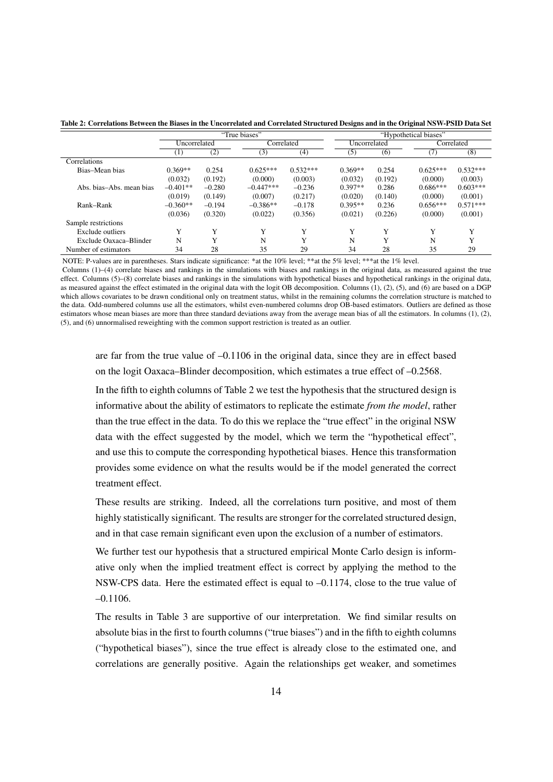|                          | "True biases"    |             |             | "Hypothetical biases" |           |              |            |            |
|--------------------------|------------------|-------------|-------------|-----------------------|-----------|--------------|------------|------------|
|                          | Uncorrelated     |             |             | Correlated            |           | Uncorrelated |            | Correlated |
|                          | $\left(1\right)$ | (2)         | (3)         | (4)                   | (5)       | (6)          |            | (8)        |
| Correlations             |                  |             |             |                       |           |              |            |            |
| Bias-Mean bias           | $0.369**$        | 0.254       | $0.625***$  | $0.532***$            | $0.369**$ | 0.254        | $0.625***$ | $0.532***$ |
|                          | (0.032)          | (0.192)     | (0.000)     | (0.003)               | (0.032)   | (0.192)      | (0.000)    | (0.003)    |
| Abs. bias–Abs. mean bias | $-0.401**$       | $-0.280$    | $-0.447***$ | $-0.236$              | $0.397**$ | 0.286        | $0.686***$ | $0.603***$ |
|                          | (0.019)          | (0.149)     | (0.007)     | (0.217)               | (0.020)   | (0.140)      | (0.000)    | (0.001)    |
| Rank-Rank                | $-0.360**$       | $-0.194$    | $-0.386**$  | $-0.178$              | $0.395**$ | 0.236        | $0.656***$ | $0.571***$ |
|                          | (0.036)          | (0.320)     | (0.022)     | (0.356)               | (0.021)   | (0.226)      | (0.000)    | (0.001)    |
| Sample restrictions      |                  |             |             |                       |           |              |            |            |
| Exclude outliers         | Y                | Y           | Y           | Y                     | Y         | Y            | Y          | Y          |
| Exclude Oaxaca-Blinder   | N                | $\mathbf v$ | N           | Y                     | N         | $\mathbf v$  | N          | Y          |
| Number of estimators     | 34               | 28          | 35          | 29                    | 34        | 28           | 35         | 29         |

<span id="page-15-0"></span>Table 2: Correlations Between the Biases in the Uncorrelated and Correlated Structured Designs and in the Original NSW-PSID Data Set

NOTE: P-values are in parentheses. Stars indicate significance: \*at the 10% level; \*\*at the 5% level; \*\*\*at the 1% level.

Columns (1)–(4) correlate biases and rankings in the simulations with biases and rankings in the original data, as measured against the true effect. Columns (5)–(8) correlate biases and rankings in the simulations with hypothetical biases and hypothetical rankings in the original data, as measured against the effect estimated in the original data with the logit OB decomposition. Columns (1), (2), (5), and (6) are based on a DGP which allows covariates to be drawn conditional only on treatment status, whilst in the remaining columns the correlation structure is matched to the data. Odd-numbered columns use all the estimators, whilst even-numbered columns drop OB-based estimators. Outliers are defined as those estimators whose mean biases are more than three standard deviations away from the average mean bias of all the estimators. In columns (1), (2), (5), and (6) unnormalised reweighting with the common support restriction is treated as an outlier.

are far from the true value of –0.1106 in the original data, since they are in effect based on the logit Oaxaca–Blinder decomposition, which estimates a true effect of –0.2568.

In the fifth to eighth columns of Table [2](#page-15-0) we test the hypothesis that the structured design is informative about the ability of estimators to replicate the estimate *from the model*, rather than the true effect in the data. To do this we replace the "true effect" in the original NSW data with the effect suggested by the model, which we term the "hypothetical effect", and use this to compute the corresponding hypothetical biases. Hence this transformation provides some evidence on what the results would be if the model generated the correct treatment effect.

These results are striking. Indeed, all the correlations turn positive, and most of them highly statistically significant. The results are stronger for the correlated structured design, and in that case remain significant even upon the exclusion of a number of estimators.

We further test our hypothesis that a structured empirical Monte Carlo design is informative only when the implied treatment effect is correct by applying the method to the NSW-CPS data. Here the estimated effect is equal to  $-0.1174$ , close to the true value of –0.1106.

The results in Table [3](#page-16-0) are supportive of our interpretation. We find similar results on absolute bias in the first to fourth columns ("true biases") and in the fifth to eighth columns ("hypothetical biases"), since the true effect is already close to the estimated one, and correlations are generally positive. Again the relationships get weaker, and sometimes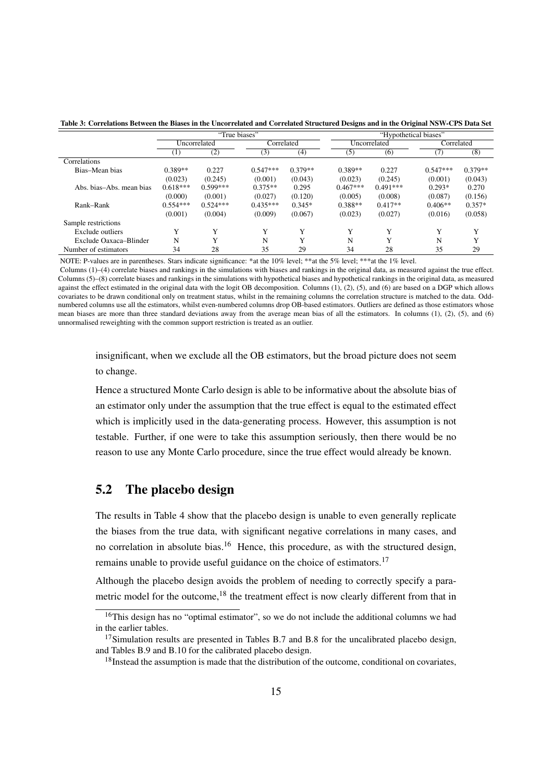|                          |            | "True biases" |             |             | "Hypothetical biases" |              |                    |            |
|--------------------------|------------|---------------|-------------|-------------|-----------------------|--------------|--------------------|------------|
|                          |            | Uncorrelated  | Correlated  |             |                       | Uncorrelated |                    | Correlated |
|                          | $_{(1)}$   | (2)           | (3)         | (4)         | (5)                   | (6)          | $\left($ $\right)$ | (8)        |
| Correlations             |            |               |             |             |                       |              |                    |            |
| Bias-Mean bias           | $0.389**$  | 0.227         | $0.547***$  | $0.379**$   | $0.389**$             | 0.227        | $0.547***$         | $0.379**$  |
|                          | (0.023)    | (0.245)       | (0.001)     | (0.043)     | (0.023)               | (0.245)      | (0.001)            | (0.043)    |
| Abs. bias–Abs. mean bias | $0.618***$ | $0.599***$    | $0.375**$   | 0.295       | $0.467***$            | $0.491***$   | $0.293*$           | 0.270      |
|                          | (0.000)    | (0.001)       | (0.027)     | (0.120)     | (0.005)               | (0.008)      | (0.087)            | (0.156)    |
| Rank-Rank                | $0.554***$ | $0.524***$    | $0.435***$  | $0.345*$    | $0.388**$             | $0.417**$    | $0.406**$          | $0.357*$   |
|                          | (0.001)    | (0.004)       | (0.009)     | (0.067)     | (0.023)               | (0.027)      | (0.016)            | (0.058)    |
| Sample restrictions      |            |               |             |             |                       |              |                    |            |
| Exclude outliers         | Y          | $\mathbf{v}$  | $\mathbf v$ | Y           | Y                     | $\mathbf{v}$ | Y                  | Y          |
| Exclude Oaxaca-Blinder   | N          | $\mathbf{v}$  | N           | $\mathbf v$ | $\mathbf N$           | $\mathbf{v}$ | N                  | v          |
| Number of estimators     | 34         | 28            | 35          | 29          | 34                    | 28           | 35                 | 29         |

<span id="page-16-0"></span>Table 3: Correlations Between the Biases in the Uncorrelated and Correlated Structured Designs and in the Original NSW-CPS Data Set

NOTE: P-values are in parentheses. Stars indicate significance: \*at the 10% level; \*\*at the 5% level; \*\*\*at the 1% level.

Columns (1)–(4) correlate biases and rankings in the simulations with biases and rankings in the original data, as measured against the true effect. Columns (5)–(8) correlate biases and rankings in the simulations with hypothetical biases and hypothetical rankings in the original data, as measured against the effect estimated in the original data with the logit OB decomposition. Columns  $(1)$ ,  $(2)$ ,  $(5)$ , and  $(6)$  are based on a DGP which allows covariates to be drawn conditional only on treatment status, whilst in the remaining columns the correlation structure is matched to the data. Oddnumbered columns use all the estimators, whilst even-numbered columns drop OB-based estimators. Outliers are defined as those estimators whose mean biases are more than three standard deviations away from the average mean bias of all the estimators. In columns (1), (2), (5), and (6) unnormalised reweighting with the common support restriction is treated as an outlier.

insignificant, when we exclude all the OB estimators, but the broad picture does not seem to change.

Hence a structured Monte Carlo design is able to be informative about the absolute bias of an estimator only under the assumption that the true effect is equal to the estimated effect which is implicitly used in the data-generating process. However, this assumption is not testable. Further, if one were to take this assumption seriously, then there would be no reason to use any Monte Carlo procedure, since the true effect would already be known.

#### 5.2 The placebo design

The results in Table [4](#page-17-0) show that the placebo design is unable to even generally replicate the biases from the true data, with significant negative correlations in many cases, and no correlation in absolute bias.<sup>[16](#page-16-1)</sup> Hence, this procedure, as with the structured design, remains unable to provide useful guidance on the choice of estimators.<sup>[17](#page-16-2)</sup>

Although the placebo design avoids the problem of needing to correctly specify a para-metric model for the outcome,<sup>[18](#page-16-3)</sup> the treatment effect is now clearly different from that in

<span id="page-16-1"></span><sup>&</sup>lt;sup>16</sup>This design has no "optimal estimator", so we do not include the additional columns we had in the earlier tables.

<span id="page-16-2"></span> $17$ Simulation results are presented in Tables [B.7](#page-31-0) and [B.8](#page-32-0) for the uncalibrated placebo design, and Tables [B.9](#page-33-0) and [B.10](#page-34-0) for the calibrated placebo design.

<span id="page-16-3"></span><sup>&</sup>lt;sup>18</sup>Instead the assumption is made that the distribution of the outcome, conditional on covariates,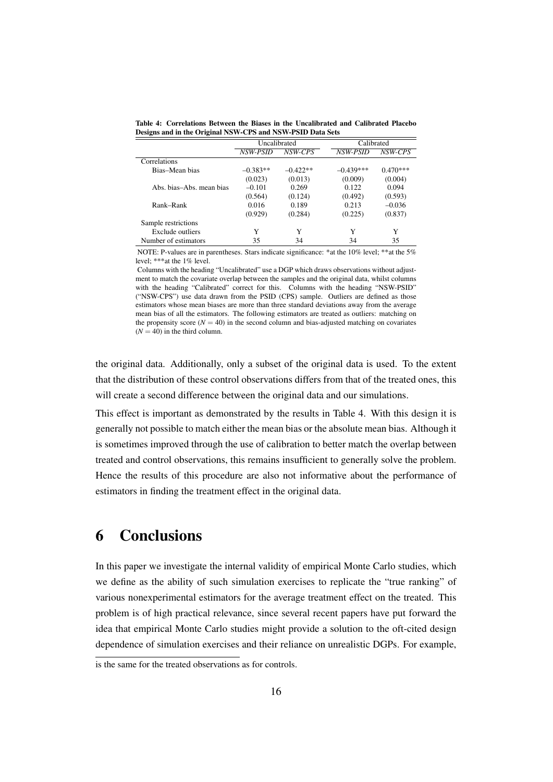|                           | Uncalibrated |            | Calibrated  |            |
|---------------------------|--------------|------------|-------------|------------|
|                           | NSW-PSID     | NSW-CPS    | NSW-PSID    | NSW-CPS    |
| Correlations              |              |            |             |            |
| Bias–Mean bias            | $-0.383**$   | $-0.422**$ | $-0.439***$ | $0.470***$ |
|                           | (0.023)      | (0.013)    | (0.009)     | (0.004)    |
| Abs. bias–Abs. mean bias. | $-0.101$     | 0.269      | 0.122       | 0.094      |
|                           | (0.564)      | (0.124)    | (0.492)     | (0.593)    |
| Rank-Rank                 | 0.016        | 0.189      | 0.213       | $-0.036$   |
|                           | (0.929)      | (0.284)    | (0.225)     | (0.837)    |
| Sample restrictions       |              |            |             |            |
| Exclude outliers          | Y            | Y          | Y           | Y          |
| Number of estimators      | 35           | 34         | 34          | 35         |

<span id="page-17-0"></span>Table 4: Correlations Between the Biases in the Uncalibrated and Calibrated Placebo Designs and in the Original NSW-CPS and NSW-PSID Data Sets

NOTE: P-values are in parentheses. Stars indicate significance: \*at the 10% level; \*\*at the 5% level; \*\*\*at the 1% level.

Columns with the heading "Uncalibrated" use a DGP which draws observations without adjustment to match the covariate overlap between the samples and the original data, whilst columns with the heading "Calibrated" correct for this. Columns with the heading "NSW-PSID" ("NSW-CPS") use data drawn from the PSID (CPS) sample. Outliers are defined as those estimators whose mean biases are more than three standard deviations away from the average mean bias of all the estimators. The following estimators are treated as outliers: matching on the propensity score  $(N = 40)$  in the second column and bias-adjusted matching on covariates  $(N = 40)$  in the third column.

the original data. Additionally, only a subset of the original data is used. To the extent that the distribution of these control observations differs from that of the treated ones, this will create a second difference between the original data and our simulations.

This effect is important as demonstrated by the results in Table [4.](#page-17-0) With this design it is generally not possible to match either the mean bias or the absolute mean bias. Although it is sometimes improved through the use of calibration to better match the overlap between treated and control observations, this remains insufficient to generally solve the problem. Hence the results of this procedure are also not informative about the performance of estimators in finding the treatment effect in the original data.

# 6 Conclusions

In this paper we investigate the internal validity of empirical Monte Carlo studies, which we define as the ability of such simulation exercises to replicate the "true ranking" of various nonexperimental estimators for the average treatment effect on the treated. This problem is of high practical relevance, since several recent papers have put forward the idea that empirical Monte Carlo studies might provide a solution to the oft-cited design dependence of simulation exercises and their reliance on unrealistic DGPs. For example,

is the same for the treated observations as for controls.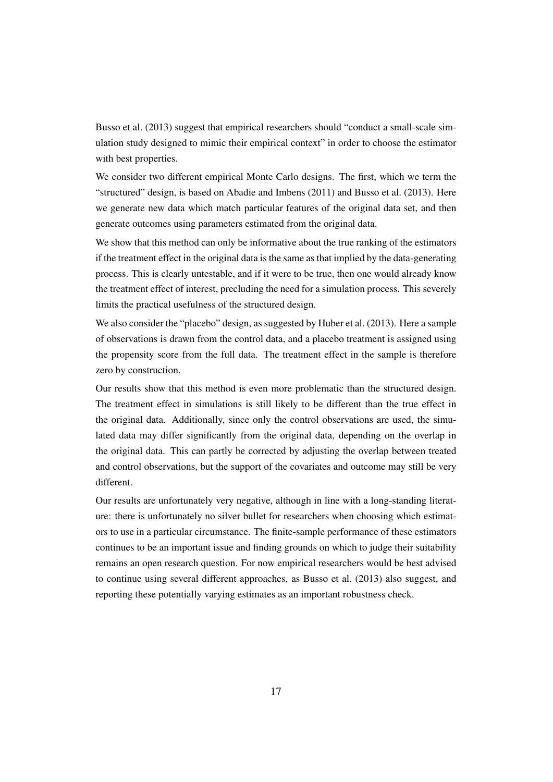[Busso et al.](#page-19-3) [\(2013\)](#page-19-3) suggest that empirical researchers should "conduct a small-scale simulation study designed to mimic their empirical context" in order to choose the estimator with best properties.

We consider two different empirical Monte Carlo designs. The first, which we term the "structured" design, is based on [Abadie and Imbens](#page-19-2) [\(2011\)](#page-19-2) and [Busso et al.](#page-19-3) [\(2013\)](#page-19-3). Here we generate new data which match particular features of the original data set, and then generate outcomes using parameters estimated from the original data.

We show that this method can only be informative about the true ranking of the estimators if the treatment effect in the original data is the same as that implied by the data-generating process. This is clearly untestable, and if it were to be true, then one would already know the treatment effect of interest, precluding the need for a simulation process. This severely limits the practical usefulness of the structured design.

We also consider the "placebo" design, as suggested by [Huber et al.](#page-21-3) [\(2013\)](#page-21-3). Here a sample of observations is drawn from the control data, and a placebo treatment is assigned using the propensity score from the full data. The treatment effect in the sample is therefore zero by construction.

Our results show that this method is even more problematic than the structured design. The treatment effect in simulations is still likely to be different than the true effect in the original data. Additionally, since only the control observations are used, the simulated data may differ significantly from the original data, depending on the overlap in the original data. This can partly be corrected by adjusting the overlap between treated and control observations, but the support of the covariates and outcome may still be very different.

Our results are unfortunately very negative, although in line with a long-standing literature: there is unfortunately no silver bullet for researchers when choosing which estimators to use in a particular circumstance. The finite-sample performance of these estimators continues to be an important issue and finding grounds on which to judge their suitability remains an open research question. For now empirical researchers would be best advised to continue using several different approaches, as [Busso et al.](#page-19-3) [\(2013\)](#page-19-3) also suggest, and reporting these potentially varying estimates as an important robustness check.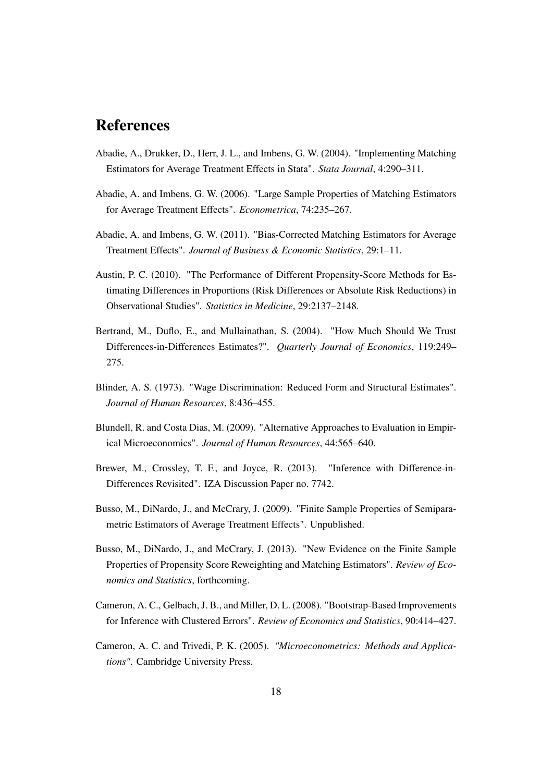### References

- <span id="page-19-11"></span>Abadie, A., Drukker, D., Herr, J. L., and Imbens, G. W. (2004). "Implementing Matching Estimators for Average Treatment Effects in Stata". *Stata Journal*, 4:290–311.
- <span id="page-19-10"></span>Abadie, A. and Imbens, G. W. (2006). "Large Sample Properties of Matching Estimators for Average Treatment Effects". *Econometrica*, 74:235–267.
- <span id="page-19-2"></span>Abadie, A. and Imbens, G. W. (2011). "Bias-Corrected Matching Estimators for Average Treatment Effects". *Journal of Business & Economic Statistics*, 29:1–11.
- <span id="page-19-1"></span>Austin, P. C. (2010). "The Performance of Different Propensity-Score Methods for Estimating Differences in Proportions (Risk Differences or Absolute Risk Reductions) in Observational Studies". *Statistics in Medicine*, 29:2137–2148.
- <span id="page-19-5"></span>Bertrand, M., Duflo, E., and Mullainathan, S. (2004). "How Much Should We Trust Differences-in-Differences Estimates?". *Quarterly Journal of Economics*, 119:249– 275.
- <span id="page-19-9"></span>Blinder, A. S. (1973). "Wage Discrimination: Reduced Form and Structural Estimates". *Journal of Human Resources*, 8:436–455.
- <span id="page-19-4"></span>Blundell, R. and Costa Dias, M. (2009). "Alternative Approaches to Evaluation in Empirical Microeconomics". *Journal of Human Resources*, 44:565–640.
- <span id="page-19-7"></span>Brewer, M., Crossley, T. F., and Joyce, R. (2013). "Inference with Difference-in-Differences Revisited". IZA Discussion Paper no. 7742.
- <span id="page-19-0"></span>Busso, M., DiNardo, J., and McCrary, J. (2009). "Finite Sample Properties of Semiparametric Estimators of Average Treatment Effects". Unpublished.
- <span id="page-19-3"></span>Busso, M., DiNardo, J., and McCrary, J. (2013). "New Evidence on the Finite Sample Properties of Propensity Score Reweighting and Matching Estimators". *Review of Economics and Statistics*, forthcoming.
- <span id="page-19-6"></span>Cameron, A. C., Gelbach, J. B., and Miller, D. L. (2008). "Bootstrap-Based Improvements for Inference with Clustered Errors". *Review of Economics and Statistics*, 90:414–427.
- <span id="page-19-8"></span>Cameron, A. C. and Trivedi, P. K. (2005). *"Microeconometrics: Methods and Applications"*. Cambridge University Press.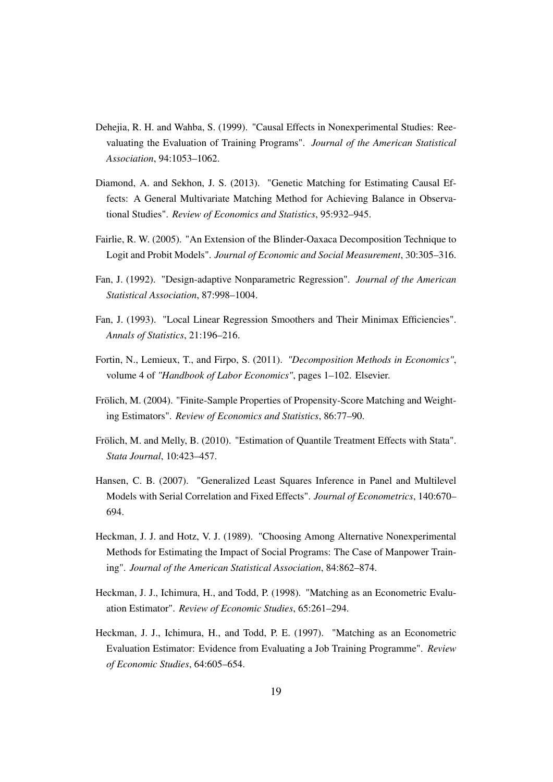- <span id="page-20-3"></span>Dehejia, R. H. and Wahba, S. (1999). "Causal Effects in Nonexperimental Studies: Reevaluating the Evaluation of Training Programs". *Journal of the American Statistical Association*, 94:1053–1062.
- <span id="page-20-1"></span>Diamond, A. and Sekhon, J. S. (2013). "Genetic Matching for Estimating Causal Effects: A General Multivariate Matching Method for Achieving Balance in Observational Studies". *Review of Economics and Statistics*, 95:932–945.
- <span id="page-20-6"></span>Fairlie, R. W. (2005). "An Extension of the Blinder-Oaxaca Decomposition Technique to Logit and Probit Models". *Journal of Economic and Social Measurement*, 30:305–316.
- <span id="page-20-9"></span>Fan, J. (1992). "Design-adaptive Nonparametric Regression". *Journal of the American Statistical Association*, 87:998–1004.
- <span id="page-20-10"></span>Fan, J. (1993). "Local Linear Regression Smoothers and Their Minimax Efficiencies". *Annals of Statistics*, 21:196–216.
- <span id="page-20-4"></span>Fortin, N., Lemieux, T., and Firpo, S. (2011). *"Decomposition Methods in Economics"*, volume 4 of *"Handbook of Labor Economics"*, pages 1–102. Elsevier.
- <span id="page-20-0"></span>Frölich, M. (2004). "Finite-Sample Properties of Propensity-Score Matching and Weighting Estimators". *Review of Economics and Statistics*, 86:77–90.
- <span id="page-20-11"></span>Frölich, M. and Melly, B. (2010). "Estimation of Quantile Treatment Effects with Stata". *Stata Journal*, 10:423–457.
- <span id="page-20-5"></span>Hansen, C. B. (2007). "Generalized Least Squares Inference in Panel and Multilevel Models with Serial Correlation and Fixed Effects". *Journal of Econometrics*, 140:670– 694.
- <span id="page-20-2"></span>Heckman, J. J. and Hotz, V. J. (1989). "Choosing Among Alternative Nonexperimental Methods for Estimating the Impact of Social Programs: The Case of Manpower Training". *Journal of the American Statistical Association*, 84:862–874.
- <span id="page-20-8"></span>Heckman, J. J., Ichimura, H., and Todd, P. (1998). "Matching as an Econometric Evaluation Estimator". *Review of Economic Studies*, 65:261–294.
- <span id="page-20-7"></span>Heckman, J. J., Ichimura, H., and Todd, P. E. (1997). "Matching as an Econometric Evaluation Estimator: Evidence from Evaluating a Job Training Programme". *Review of Economic Studies*, 64:605–654.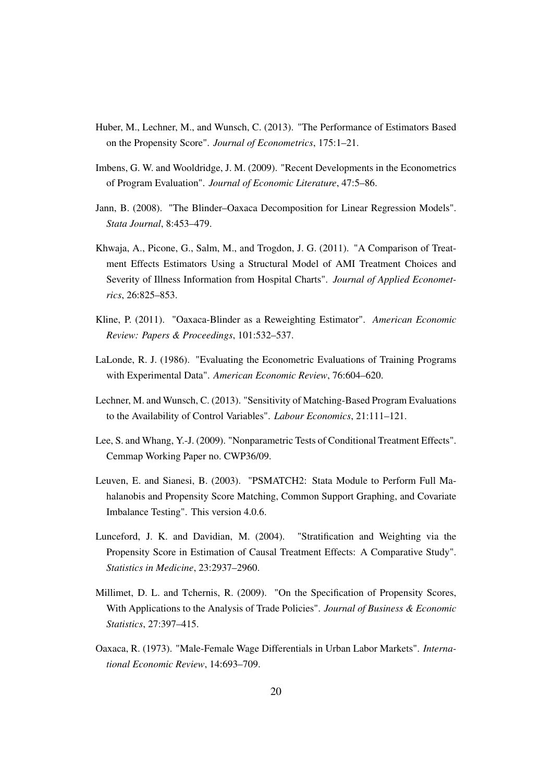- <span id="page-21-3"></span>Huber, M., Lechner, M., and Wunsch, C. (2013). "The Performance of Estimators Based on the Propensity Score". *Journal of Econometrics*, 175:1–21.
- <span id="page-21-4"></span>Imbens, G. W. and Wooldridge, J. M. (2009). "Recent Developments in the Econometrics of Program Evaluation". *Journal of Economic Literature*, 47:5–86.
- <span id="page-21-10"></span>Jann, B. (2008). "The Blinder–Oaxaca Decomposition for Linear Regression Models". *Stata Journal*, 8:453–479.
- <span id="page-21-2"></span>Khwaja, A., Picone, G., Salm, M., and Trogdon, J. G. (2011). "A Comparison of Treatment Effects Estimators Using a Structural Model of AMI Treatment Choices and Severity of Illness Information from Hospital Charts". *Journal of Applied Econometrics*, 26:825–853.
- <span id="page-21-8"></span>Kline, P. (2011). "Oaxaca-Blinder as a Reweighting Estimator". *American Economic Review: Papers & Proceedings*, 101:532–537.
- <span id="page-21-5"></span>LaLonde, R. J. (1986). "Evaluating the Econometric Evaluations of Training Programs with Experimental Data". *American Economic Review*, 76:604–620.
- <span id="page-21-7"></span>Lechner, M. and Wunsch, C. (2013). "Sensitivity of Matching-Based Program Evaluations to the Availability of Control Variables". *Labour Economics*, 21:111–121.
- <span id="page-21-6"></span>Lee, S. and Whang, Y.-J. (2009). "Nonparametric Tests of Conditional Treatment Effects". Cemmap Working Paper no. CWP36/09.
- <span id="page-21-11"></span>Leuven, E. and Sianesi, B. (2003). "PSMATCH2: Stata Module to Perform Full Mahalanobis and Propensity Score Matching, Common Support Graphing, and Covariate Imbalance Testing". This version 4.0.6.
- <span id="page-21-0"></span>Lunceford, J. K. and Davidian, M. (2004). "Stratification and Weighting via the Propensity Score in Estimation of Causal Treatment Effects: A Comparative Study". *Statistics in Medicine*, 23:2937–2960.
- <span id="page-21-1"></span>Millimet, D. L. and Tchernis, R. (2009). "On the Specification of Propensity Scores, With Applications to the Analysis of Trade Policies". *Journal of Business & Economic Statistics*, 27:397–415.
- <span id="page-21-9"></span>Oaxaca, R. (1973). "Male-Female Wage Differentials in Urban Labor Markets". *International Economic Review*, 14:693–709.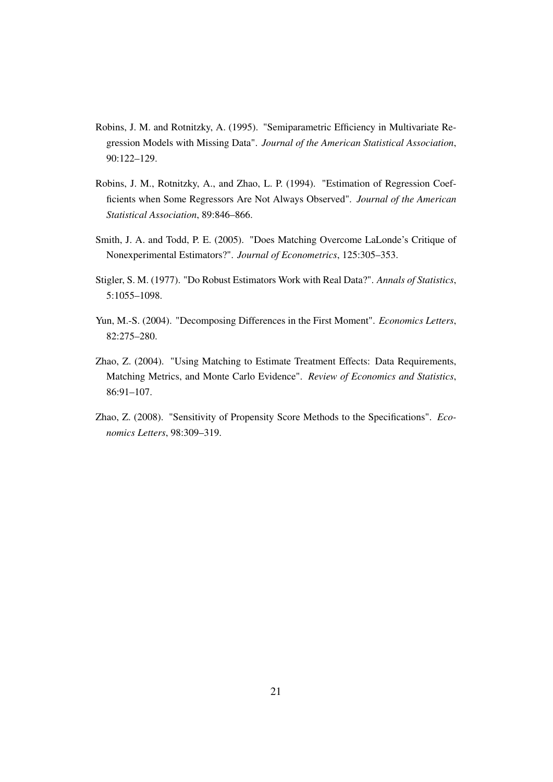- <span id="page-22-6"></span>Robins, J. M. and Rotnitzky, A. (1995). "Semiparametric Efficiency in Multivariate Regression Models with Missing Data". *Journal of the American Statistical Association*, 90:122–129.
- <span id="page-22-5"></span>Robins, J. M., Rotnitzky, A., and Zhao, L. P. (1994). "Estimation of Regression Coefficients when Some Regressors Are Not Always Observed". *Journal of the American Statistical Association*, 89:846–866.
- <span id="page-22-3"></span>Smith, J. A. and Todd, P. E. (2005). "Does Matching Overcome LaLonde's Critique of Nonexperimental Estimators?". *Journal of Econometrics*, 125:305–353.
- <span id="page-22-2"></span>Stigler, S. M. (1977). "Do Robust Estimators Work with Real Data?". *Annals of Statistics*, 5:1055–1098.
- <span id="page-22-4"></span>Yun, M.-S. (2004). "Decomposing Differences in the First Moment". *Economics Letters*, 82:275–280.
- <span id="page-22-0"></span>Zhao, Z. (2004). "Using Matching to Estimate Treatment Effects: Data Requirements, Matching Metrics, and Monte Carlo Evidence". *Review of Economics and Statistics*, 86:91–107.
- <span id="page-22-1"></span>Zhao, Z. (2008). "Sensitivity of Propensity Score Methods to the Specifications". *Economics Letters*, 98:309–319.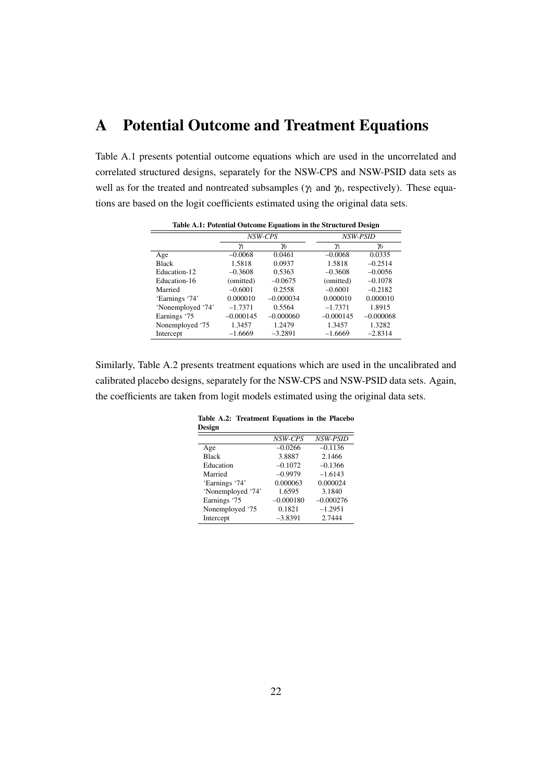# A Potential Outcome and Treatment Equations

Table [A.1](#page-23-0) presents potential outcome equations which are used in the uncorrelated and correlated structured designs, separately for the NSW-CPS and NSW-PSID data sets as well as for the treated and nontreated subsamples ( $\gamma_1$  and  $\gamma_0$ , respectively). These equations are based on the logit coefficients estimated using the original data sets.

<span id="page-23-0"></span>

| Table A.1: Potential Outcome Equations in the Structured Design |             |             |             |             |  |  |  |  |
|-----------------------------------------------------------------|-------------|-------------|-------------|-------------|--|--|--|--|
|                                                                 |             | NSW-CPS     | NSW-PSID    |             |  |  |  |  |
|                                                                 | γ           | γ0          | γ           | γ0          |  |  |  |  |
| Age                                                             | $-0.0068$   | 0.0461      | $-0.0068$   | 0.0335      |  |  |  |  |
| <b>Black</b>                                                    | 1.5818      | 0.0937      | 1.5818      | $-0.2514$   |  |  |  |  |
| Education-12                                                    | $-0.3608$   | 0.5363      | $-0.3608$   | $-0.0056$   |  |  |  |  |
| Education-16                                                    | (omitted)   | $-0.0675$   | (omitted)   | $-0.1078$   |  |  |  |  |
| Married                                                         | $-0.6001$   | 0.2558      | $-0.6001$   | $-0.2182$   |  |  |  |  |
| 'Earnings '74'                                                  | 0.000010    | $-0.000034$ | 0.000010    | 0.000010    |  |  |  |  |
| 'Nonemployed '74'                                               | $-1.7371$   | 0.5564      | $-1.7371$   | 1.8915      |  |  |  |  |
| Earnings '75                                                    | $-0.000145$ | $-0.000060$ | $-0.000145$ | $-0.000068$ |  |  |  |  |
| Nonemployed '75                                                 | 1.3457      | 1.2479      | 1.3457      | 1.3282      |  |  |  |  |
| Intercept                                                       | $-1.6669$   | $-3.2891$   | $-1.6669$   | $-2.8314$   |  |  |  |  |

Table A.1: Potential Outcome Equations in the Structured Design

<span id="page-23-1"></span>Similarly, Table [A.2](#page-23-1) presents treatment equations which are used in the uncalibrated and calibrated placebo designs, separately for the NSW-CPS and NSW-PSID data sets. Again, the coefficients are taken from logit models estimated using the original data sets.

| Design            |             |             |
|-------------------|-------------|-------------|
|                   | NSW-CPS     | NSW-PSID    |
| Age               | $-0.0266$   | $-0.1136$   |
| <b>Black</b>      | 3.8887      | 2.1466      |
| Education         | $-0.1072$   | $-0.1366$   |
| Married           | $-0.9979$   | $-1.6143$   |
| 'Earnings '74'    | 0.000063    | 0.000024    |
| 'Nonemployed '74' | 1.6595      | 3.1840      |
| Earnings '75      | $-0.000180$ | $-0.000276$ |
| Nonemployed '75   | 0.1821      | $-1.2951$   |
| Intercept         | $-3.8391$   | 2.7444      |

Table A.2: Treatment Equations in the Placebo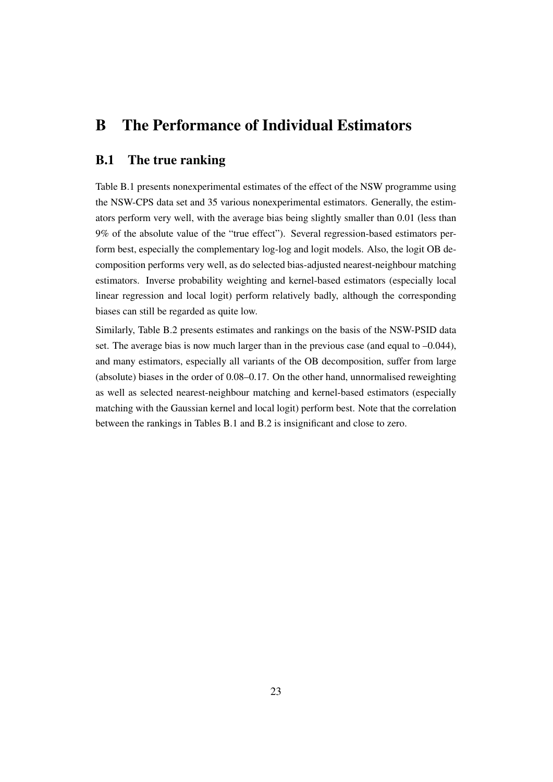# B The Performance of Individual Estimators

#### B.1 The true ranking

Table [B.1](#page-25-0) presents nonexperimental estimates of the effect of the NSW programme using the NSW-CPS data set and 35 various nonexperimental estimators. Generally, the estimators perform very well, with the average bias being slightly smaller than 0.01 (less than 9% of the absolute value of the "true effect"). Several regression-based estimators perform best, especially the complementary log-log and logit models. Also, the logit OB decomposition performs very well, as do selected bias-adjusted nearest-neighbour matching estimators. Inverse probability weighting and kernel-based estimators (especially local linear regression and local logit) perform relatively badly, although the corresponding biases can still be regarded as quite low.

Similarly, Table [B.2](#page-26-0) presents estimates and rankings on the basis of the NSW-PSID data set. The average bias is now much larger than in the previous case (and equal to  $-0.044$ ), and many estimators, especially all variants of the OB decomposition, suffer from large (absolute) biases in the order of 0.08–0.17. On the other hand, unnormalised reweighting as well as selected nearest-neighbour matching and kernel-based estimators (especially matching with the Gaussian kernel and local logit) perform best. Note that the correlation between the rankings in Tables [B.1](#page-25-0) and [B.2](#page-26-0) is insignificant and close to zero.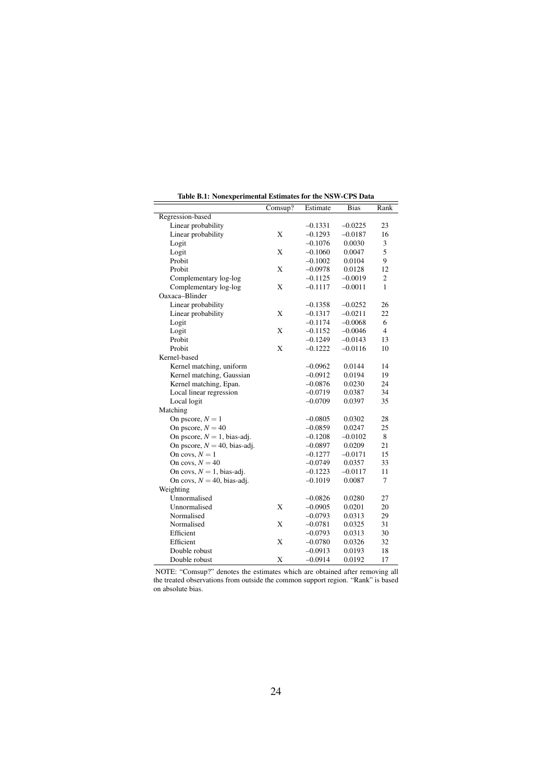<span id="page-25-0"></span>

|                                 | Comsup? | Estimate  | <b>Bias</b> | Rank           |
|---------------------------------|---------|-----------|-------------|----------------|
| Regression-based                |         |           |             |                |
| Linear probability              |         | $-0.1331$ | $-0.0225$   | 23             |
| Linear probability              | X       | $-0.1293$ | $-0.0187$   | 16             |
| Logit                           |         | $-0.1076$ | 0.0030      | 3              |
| Logit                           | X       | $-0.1060$ | 0.0047      | 5              |
| Probit                          |         | $-0.1002$ | 0.0104      | 9              |
| Probit                          | X       | $-0.0978$ | 0.0128      | 12             |
| Complementary log-log           |         | $-0.1125$ | $-0.0019$   | $\overline{c}$ |
| Complementary log-log           | X       | $-0.1117$ | $-0.0011$   | 1              |
| Oaxaca-Blinder                  |         |           |             |                |
| Linear probability              |         | $-0.1358$ | $-0.0252$   | 26             |
| Linear probability              | X       | $-0.1317$ | $-0.0211$   | 22             |
| Logit                           |         | $-0.1174$ | $-0.0068$   | 6              |
| Logit                           | X       | $-0.1152$ | $-0.0046$   | $\overline{4}$ |
| Probit                          |         | $-0.1249$ | $-0.0143$   | 13             |
| Probit                          | X       | $-0.1222$ | $-0.0116$   | 10             |
| Kernel-based                    |         |           |             |                |
| Kernel matching, uniform        |         | $-0.0962$ | 0.0144      | 14             |
| Kernel matching, Gaussian       |         | $-0.0912$ | 0.0194      | 19             |
| Kernel matching, Epan.          |         | $-0.0876$ | 0.0230      | 24             |
| Local linear regression         |         | $-0.0719$ | 0.0387      | 34             |
| Local logit                     |         | $-0.0709$ | 0.0397      | 35             |
| Matching                        |         |           |             |                |
| On pscore, $N = 1$              |         | $-0.0805$ | 0.0302      | 28             |
| On pscore, $N = 40$             |         | $-0.0859$ | 0.0247      | 25             |
| On pscore, $N = 1$ , bias-adj.  |         | $-0.1208$ | $-0.0102$   | 8              |
| On pscore, $N = 40$ , bias-adj. |         | $-0.0897$ | 0.0209      | 21             |
| On covs, $N = 1$                |         | $-0.1277$ | $-0.0171$   | 15             |
| On covs, $N = 40$               |         | $-0.0749$ | 0.0357      | 33             |
| On covs, $N = 1$ , bias-adj.    |         | $-0.1223$ | $-0.0117$   | 11             |
| On covs, $N = 40$ , bias-adj.   |         | $-0.1019$ | 0.0087      | $\overline{7}$ |
| Weighting                       |         |           |             |                |
| Unnormalised                    |         | $-0.0826$ | 0.0280      | 27             |
| Unnormalised                    | X       | $-0.0905$ | 0.0201      | 20             |
| Normalised                      |         | $-0.0793$ | 0.0313      | 29             |
| Normalised                      | X       | $-0.0781$ | 0.0325      | 31             |
| Efficient                       |         | $-0.0793$ | 0.0313      | 30             |
| Efficient                       | X       | $-0.0780$ | 0.0326      | 32             |
| Double robust                   |         | $-0.0913$ | 0.0193      | 18             |
| Double robust                   | X       | $-0.0914$ | 0.0192      | 17             |

Table B.1: Nonexperimental Estimates for the NSW-CPS Data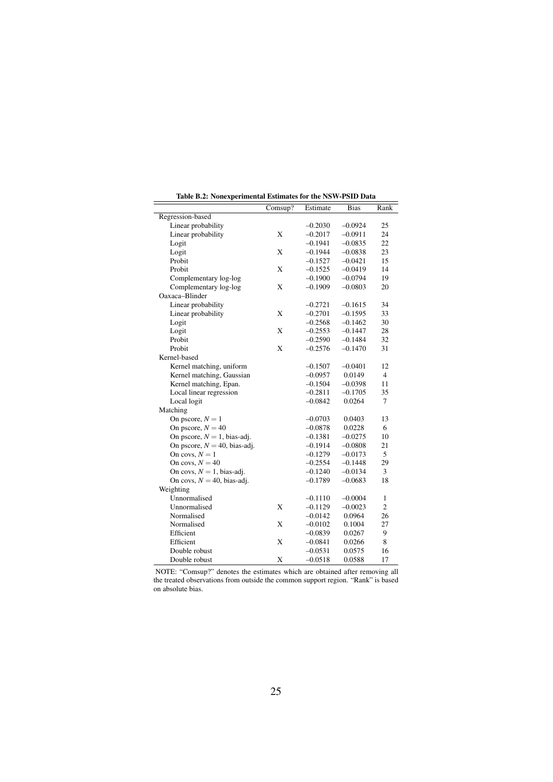<span id="page-26-0"></span>

|                                 | Comsup? | Estimate  | <b>Bias</b> | Rank           |
|---------------------------------|---------|-----------|-------------|----------------|
| Regression-based                |         |           |             |                |
| Linear probability              |         | $-0.2030$ | $-0.0924$   | 25             |
| Linear probability              | X       | $-0.2017$ | $-0.0911$   | 24             |
| Logit                           |         | $-0.1941$ | $-0.0835$   | 22             |
| Logit                           | X       | $-0.1944$ | $-0.0838$   | 23             |
| Probit                          |         | $-0.1527$ | $-0.0421$   | 15             |
| Probit                          | X       | $-0.1525$ | $-0.0419$   | 14             |
| Complementary log-log           |         | $-0.1900$ | $-0.0794$   | 19             |
| Complementary log-log           | X       | $-0.1909$ | $-0.0803$   | 20             |
| Oaxaca-Blinder                  |         |           |             |                |
| Linear probability              |         | $-0.2721$ | $-0.1615$   | 34             |
| Linear probability              | X       | $-0.2701$ | $-0.1595$   | 33             |
| Logit                           |         | $-0.2568$ | $-0.1462$   | 30             |
| Logit                           | X       | $-0.2553$ | $-0.1447$   | 28             |
| Probit                          |         | $-0.2590$ | $-0.1484$   | 32             |
| Probit                          | X       | $-0.2576$ | $-0.1470$   | 31             |
| Kernel-based                    |         |           |             |                |
| Kernel matching, uniform        |         | $-0.1507$ | $-0.0401$   | 12             |
| Kernel matching, Gaussian       |         | $-0.0957$ | 0.0149      | $\overline{4}$ |
| Kernel matching, Epan.          |         | $-0.1504$ | $-0.0398$   | 11             |
| Local linear regression         |         | $-0.2811$ | $-0.1705$   | 35             |
| Local logit                     |         | $-0.0842$ | 0.0264      | $\tau$         |
| Matching                        |         |           |             |                |
| On pscore, $N = 1$              |         | $-0.0703$ | 0.0403      | 13             |
| On pscore, $N = 40$             |         | $-0.0878$ | 0.0228      | 6              |
| On pscore, $N = 1$ , bias-adj.  |         | $-0.1381$ | $-0.0275$   | 10             |
| On pscore, $N = 40$ , bias-adj. |         | $-0.1914$ | $-0.0808$   | 21             |
| On covs, $N = 1$                |         | $-0.1279$ | $-0.0173$   | 5              |
| On covs, $N = 40$               |         | $-0.2554$ | $-0.1448$   | 29             |
| On covs, $N = 1$ , bias-adj.    |         | $-0.1240$ | $-0.0134$   | 3              |
| On covs, $N = 40$ , bias-adj.   |         | $-0.1789$ | $-0.0683$   | 18             |
| Weighting                       |         |           |             |                |
| Unnormalised                    |         | $-0.1110$ | $-0.0004$   | 1              |
| Unnormalised                    | X       | $-0.1129$ | $-0.0023$   | $\overline{c}$ |
| Normalised                      |         | $-0.0142$ | 0.0964      | 26             |
| Normalised                      | X       | $-0.0102$ | 0.1004      | 27             |
| Efficient                       |         | $-0.0839$ | 0.0267      | 9              |
| Efficient                       | X       | $-0.0841$ | 0.0266      | 8              |
| Double robust                   |         | $-0.0531$ | 0.0575      | 16             |
| Double robust                   | X       | $-0.0518$ | 0.0588      | 17             |

Table B.2: Nonexperimental Estimates for the NSW-PSID Data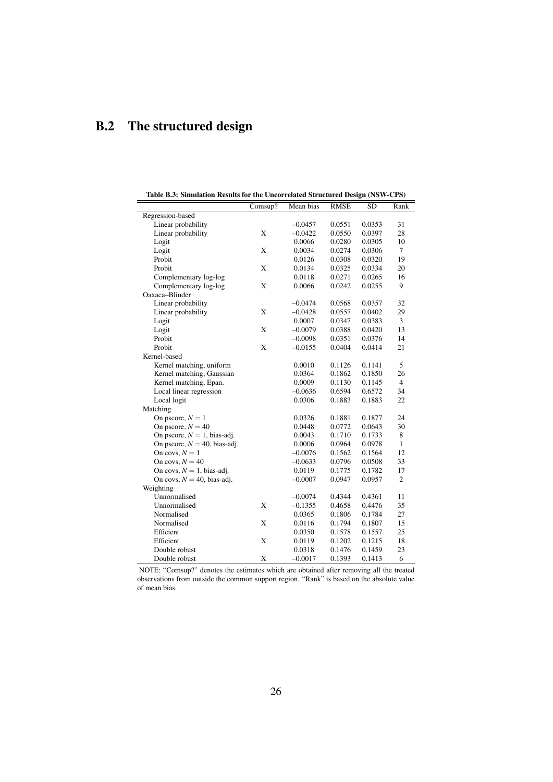# B.2 The structured design

<span id="page-27-0"></span>

| Table B.3: Simulation Results for the Uncorrelated Structured Design (NSW-CPS) |         |           |             |        |                |  |  |
|--------------------------------------------------------------------------------|---------|-----------|-------------|--------|----------------|--|--|
|                                                                                | Comsup? | Mean bias | <b>RMSE</b> | SD     | Rank           |  |  |
| Regression-based                                                               |         |           |             |        |                |  |  |
| Linear probability                                                             |         | $-0.0457$ | 0.0551      | 0.0353 | 31             |  |  |
| Linear probability                                                             | X       | $-0.0422$ | 0.0550      | 0.0397 | 28             |  |  |
| Logit                                                                          |         | 0.0066    | 0.0280      | 0.0305 | 10             |  |  |
| Logit                                                                          | X       | 0.0034    | 0.0274      | 0.0306 | 7              |  |  |
| Probit                                                                         |         | 0.0126    | 0.0308      | 0.0320 | 19             |  |  |
| Probit                                                                         | X       | 0.0134    | 0.0325      | 0.0334 | 20             |  |  |
| Complementary log-log                                                          |         | 0.0118    | 0.0271      | 0.0265 | 16             |  |  |
| Complementary log-log                                                          | X       | 0.0066    | 0.0242      | 0.0255 | 9              |  |  |
| Oaxaca-Blinder                                                                 |         |           |             |        |                |  |  |
| Linear probability                                                             |         | $-0.0474$ | 0.0568      | 0.0357 | 32             |  |  |
| Linear probability                                                             | X       | $-0.0428$ | 0.0557      | 0.0402 | 29             |  |  |
| Logit                                                                          |         | 0.0007    | 0.0347      | 0.0383 | 3              |  |  |
| Logit                                                                          | X       | $-0.0079$ | 0.0388      | 0.0420 | 13             |  |  |
| Probit                                                                         |         | $-0.0098$ | 0.0351      | 0.0376 | 14             |  |  |
| Probit                                                                         | X       | $-0.0155$ | 0.0404      | 0.0414 | 21             |  |  |
| Kernel-based                                                                   |         |           |             |        |                |  |  |
| Kernel matching, uniform                                                       |         | 0.0010    | 0.1126      | 0.1141 | 5              |  |  |
| Kernel matching, Gaussian                                                      |         | 0.0364    | 0.1862      | 0.1850 | 26             |  |  |
| Kernel matching, Epan.                                                         |         | 0.0009    | 0.1130      | 0.1145 | $\overline{4}$ |  |  |
| Local linear regression                                                        |         | $-0.0636$ | 0.6594      | 0.6572 | 34             |  |  |
| Local logit                                                                    |         | 0.0306    | 0.1883      | 0.1883 | 22             |  |  |
| Matching                                                                       |         |           |             |        |                |  |  |
| On pscore, $N = 1$                                                             |         | 0.0326    | 0.1881      | 0.1877 | 24             |  |  |
| On pscore, $N = 40$                                                            |         | 0.0448    | 0.0772      | 0.0643 | 30             |  |  |
| On pscore, $N = 1$ , bias-adj.                                                 |         | 0.0043    | 0.1710      | 0.1733 | 8              |  |  |
| On pscore, $N = 40$ , bias-adj.                                                |         | 0.0006    | 0.0964      | 0.0978 | $\mathbf{1}$   |  |  |
| On covs, $N = 1$                                                               |         | $-0.0076$ | 0.1562      | 0.1564 | 12             |  |  |
| On covs, $N = 40$                                                              |         | $-0.0633$ | 0.0796      | 0.0508 | 33             |  |  |
| On covs, $N = 1$ , bias-adj.                                                   |         | 0.0119    | 0.1775      | 0.1782 | 17             |  |  |
| On covs, $N = 40$ , bias-adj.                                                  |         | $-0.0007$ | 0.0947      | 0.0957 | $\overline{c}$ |  |  |
| Weighting                                                                      |         |           |             |        |                |  |  |
| Unnormalised                                                                   |         | $-0.0074$ | 0.4344      | 0.4361 | 11             |  |  |
| Unnormalised                                                                   | X       | $-0.1355$ | 0.4658      | 0.4476 | 35             |  |  |
| Normalised                                                                     |         | 0.0365    | 0.1806      | 0.1784 | 27             |  |  |
| Normalised                                                                     | X       | 0.0116    | 0.1794      | 0.1807 | 15             |  |  |
| Efficient                                                                      |         | 0.0350    | 0.1578      | 0.1557 | 25             |  |  |
| Efficient                                                                      | X       | 0.0119    | 0.1202      | 0.1215 | 18             |  |  |
| Double robust                                                                  |         | 0.0318    | 0.1476      | 0.1459 | 23             |  |  |
| Double robust                                                                  | X       | $-0.0017$ | 0.1393      | 0.1413 | 6              |  |  |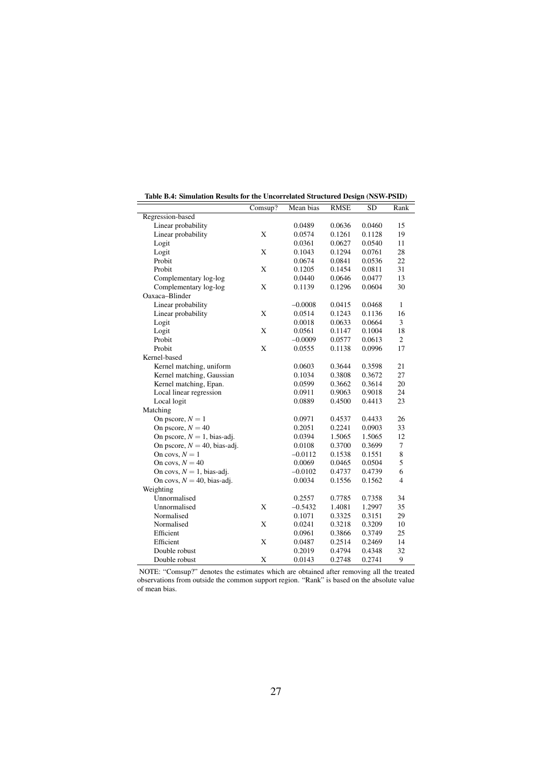<span id="page-28-0"></span>

|                                 | Comsup? | Mean bias | <b>RMSE</b> | <b>SD</b> | Rank           |
|---------------------------------|---------|-----------|-------------|-----------|----------------|
| Regression-based                |         |           |             |           |                |
| Linear probability              |         | 0.0489    | 0.0636      | 0.0460    | 15             |
| Linear probability              | X       | 0.0574    | 0.1261      | 0.1128    | 19             |
| Logit                           |         | 0.0361    | 0.0627      | 0.0540    | 11             |
| Logit                           | X       | 0.1043    | 0.1294      | 0.0761    | 28             |
| Probit                          |         | 0.0674    | 0.0841      | 0.0536    | 22             |
| Probit                          | X       | 0.1205    | 0.1454      | 0.0811    | 31             |
| Complementary log-log           |         | 0.0440    | 0.0646      | 0.0477    | 13             |
| Complementary log-log           | X       | 0.1139    | 0.1296      | 0.0604    | 30             |
| Oaxaca-Blinder                  |         |           |             |           |                |
| Linear probability              |         | $-0.0008$ | 0.0415      | 0.0468    | 1              |
| Linear probability              | X       | 0.0514    | 0.1243      | 0.1136    | 16             |
| Logit                           |         | 0.0018    | 0.0633      | 0.0664    | 3              |
| Logit                           | X       | 0.0561    | 0.1147      | 0.1004    | 18             |
| Probit                          |         | $-0.0009$ | 0.0577      | 0.0613    | $\overline{2}$ |
| Probit                          | X       | 0.0555    | 0.1138      | 0.0996    | 17             |
| Kernel-based                    |         |           |             |           |                |
| Kernel matching, uniform        |         | 0.0603    | 0.3644      | 0.3598    | 21             |
| Kernel matching, Gaussian       |         | 0.1034    | 0.3808      | 0.3672    | 27             |
| Kernel matching, Epan.          |         | 0.0599    | 0.3662      | 0.3614    | 20             |
| Local linear regression         |         | 0.0911    | 0.9063      | 0.9018    | 24             |
| Local logit                     |         | 0.0889    | 0.4500      | 0.4413    | 23             |
| Matching                        |         |           |             |           |                |
| On pscore, $N = 1$              |         | 0.0971    | 0.4537      | 0.4433    | 26             |
| On pscore, $N = 40$             |         | 0.2051    | 0.2241      | 0.0903    | 33             |
| On pscore, $N = 1$ , bias-adj.  |         | 0.0394    | 1.5065      | 1.5065    | 12             |
| On pscore, $N = 40$ , bias-adj. |         | 0.0108    | 0.3700      | 0.3699    | 7              |
| On covs, $N = 1$                |         | $-0.0112$ | 0.1538      | 0.1551    | 8              |
| On covs, $N = 40$               |         | 0.0069    | 0.0465      | 0.0504    | 5              |
| On covs, $N = 1$ , bias-adj.    |         | $-0.0102$ | 0.4737      | 0.4739    | 6              |
| On covs, $N = 40$ , bias-adj.   |         | 0.0034    | 0.1556      | 0.1562    | 4              |
| Weighting                       |         |           |             |           |                |
| Unnormalised                    |         | 0.2557    | 0.7785      | 0.7358    | 34             |
| Unnormalised                    | X       | $-0.5432$ | 1.4081      | 1.2997    | 35             |
| Normalised                      |         | 0.1071    | 0.3325      | 0.3151    | 29             |
| Normalised                      | X       | 0.0241    | 0.3218      | 0.3209    | 10             |
| Efficient                       |         | 0.0961    | 0.3866      | 0.3749    | 25             |
| Efficient                       | X       | 0.0487    | 0.2514      | 0.2469    | 14             |
| Double robust                   |         | 0.2019    | 0.4794      | 0.4348    | 32             |
| Double robust                   | X       | 0.0143    | 0.2748      | 0.2741    | 9              |

Table B.4: Simulation Results for the Uncorrelated Structured Design (NSW-PSID)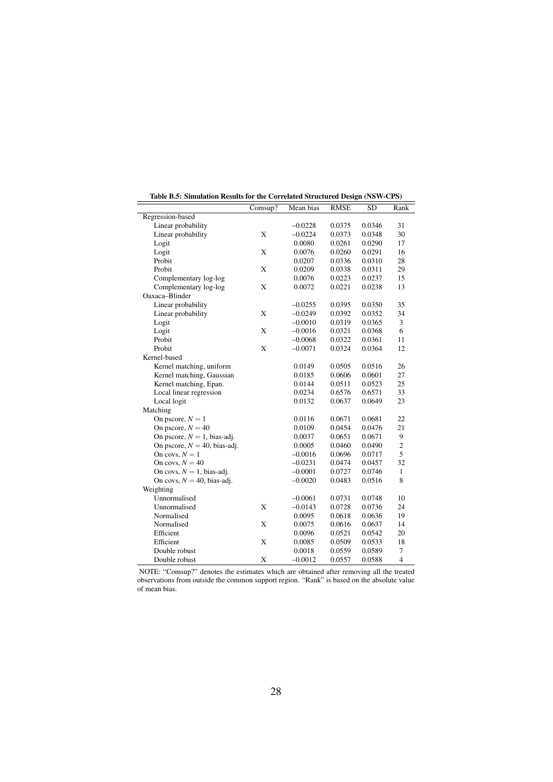<span id="page-29-0"></span>

|                                 | Comsup?     | $\frac{1}{2}$<br>Mean bias | <b>RMSE</b> | <b>SD</b> | Rank           |
|---------------------------------|-------------|----------------------------|-------------|-----------|----------------|
| Regression-based                |             |                            |             |           |                |
| Linear probability              |             | $-0.0228$                  | 0.0375      | 0.0346    | 31             |
| Linear probability              | X           | $-0.0224$                  | 0.0373      | 0.0348    | 30             |
| Logit                           |             | 0.0080                     | 0.0261      | 0.0290    | 17             |
| Logit                           | X           | 0.0076                     | 0.0260      | 0.0291    | 16             |
| Probit                          |             | 0.0207                     | 0.0336      | 0.0310    | 28             |
| Probit                          | X           | 0.0209                     | 0.0338      | 0.0311    | 29             |
| Complementary log-log           |             | 0.0076                     | 0.0223      | 0.0237    | 15             |
| Complementary log-log           | X           | 0.0072                     | 0.0221      | 0.0238    | 13             |
| Oaxaca-Blinder                  |             |                            |             |           |                |
| Linear probability              |             | $-0.0255$                  | 0.0395      | 0.0350    | 35             |
| Linear probability              | X           | $-0.0249$                  | 0.0392      | 0.0352    | 34             |
| Logit                           |             | $-0.0010$                  | 0.0319      | 0.0365    | 3              |
| Logit                           | X           | $-0.0016$                  | 0.0321      | 0.0368    | 6              |
| Probit                          |             | $-0.0068$                  | 0.0322      | 0.0361    | 11             |
| Probit                          | $\mathbf X$ | $-0.0071$                  | 0.0324      | 0.0364    | 12             |
| Kernel-based                    |             |                            |             |           |                |
| Kernel matching, uniform        |             | 0.0149                     | 0.0505      | 0.0516    | 26             |
| Kernel matching, Gaussian       |             | 0.0185                     | 0.0606      | 0.0601    | 27             |
| Kernel matching, Epan.          |             | 0.0144                     | 0.0511      | 0.0523    | 25             |
| Local linear regression         |             | 0.0234                     | 0.6576      | 0.6571    | 33             |
| Local logit                     |             | 0.0132                     | 0.0637      | 0.0649    | 23             |
| Matching                        |             |                            |             |           |                |
| On pscore, $N = 1$              |             | 0.0116                     | 0.0671      | 0.0681    | 22             |
| On pscore, $N = 40$             |             | 0.0109                     | 0.0454      | 0.0476    | 21             |
| On pscore, $N = 1$ , bias-adj.  |             | 0.0037                     | 0.0651      | 0.0671    | 9              |
| On pscore, $N = 40$ , bias-adj. |             | 0.0005                     | 0.0460      | 0.0490    | $\mathfrak{2}$ |
| On covs, $N = 1$                |             | $-0.0016$                  | 0.0696      | 0.0717    | 5              |
| On covs, $N = 40$               |             | $-0.0231$                  | 0.0474      | 0.0457    | 32             |
| On covs, $N = 1$ , bias-adj.    |             | $-0.0001$                  | 0.0727      | 0.0746    | $\mathbf{1}$   |
| On covs, $N = 40$ , bias-adj.   |             | $-0.0020$                  | 0.0483      | 0.0516    | 8              |
| Weighting                       |             |                            |             |           |                |
| Unnormalised                    |             | $-0.0061$                  | 0.0731      | 0.0748    | 10             |
| Unnormalised                    | X           | $-0.0143$                  | 0.0728      | 0.0736    | 24             |
| Normalised                      |             | 0.0095                     | 0.0618      | 0.0636    | 19             |
| Normalised                      | X           | 0.0075                     | 0.0616      | 0.0637    | 14             |
| Efficient                       |             | 0.0096                     | 0.0521      | 0.0542    | 20             |
| Efficient                       | X           | 0.0085                     | 0.0509      | 0.0533    | 18             |
| Double robust                   |             | 0.0018                     | 0.0559      | 0.0589    | $\tau$         |
| Double robust                   | X           | $-0.0012$                  | 0.0557      | 0.0588    | $\overline{4}$ |

Table B.5: Simulation Results for the Correlated Structured Design (NSW-CPS)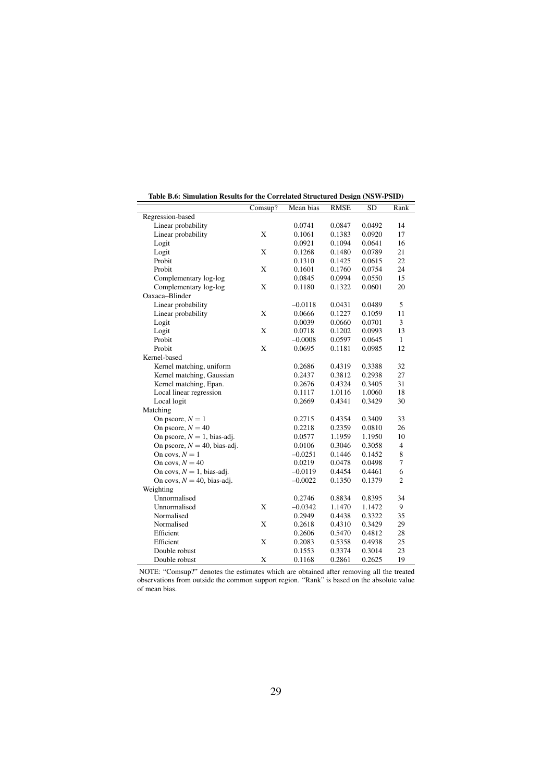<span id="page-30-0"></span>

|                                 |         |           |             | $\cdots$  |                |
|---------------------------------|---------|-----------|-------------|-----------|----------------|
|                                 | Comsup? | Mean bias | <b>RMSE</b> | <b>SD</b> | Rank           |
| Regression-based                |         |           |             |           |                |
| Linear probability              |         | 0.0741    | 0.0847      | 0.0492    | 14             |
| Linear probability              | X       | 0.1061    | 0.1383      | 0.0920    | 17             |
| Logit                           |         | 0.0921    | 0.1094      | 0.0641    | 16             |
| Logit                           | X       | 0.1268    | 0.1480      | 0.0789    | 21             |
| Probit                          |         | 0.1310    | 0.1425      | 0.0615    | 22             |
| Probit                          | X       | 0.1601    | 0.1760      | 0.0754    | 24             |
| Complementary log-log           |         | 0.0845    | 0.0994      | 0.0550    | 15             |
| Complementary log-log           | X       | 0.1180    | 0.1322      | 0.0601    | 20             |
| Oaxaca-Blinder                  |         |           |             |           |                |
| Linear probability              |         | $-0.0118$ | 0.0431      | 0.0489    | 5              |
| Linear probability              | X       | 0.0666    | 0.1227      | 0.1059    | 11             |
| Logit                           |         | 0.0039    | 0.0660      | 0.0701    | 3              |
| Logit                           | X       | 0.0718    | 0.1202      | 0.0993    | 13             |
| Probit                          |         | $-0.0008$ | 0.0597      | 0.0645    | $\mathbf{1}$   |
| Probit                          | X       | 0.0695    | 0.1181      | 0.0985    | 12             |
| Kernel-based                    |         |           |             |           |                |
| Kernel matching, uniform        |         | 0.2686    | 0.4319      | 0.3388    | 32             |
| Kernel matching, Gaussian       |         | 0.2437    | 0.3812      | 0.2938    | 27             |
| Kernel matching, Epan.          |         | 0.2676    | 0.4324      | 0.3405    | 31             |
| Local linear regression         |         | 0.1117    | 1.0116      | 1.0060    | 18             |
| Local logit                     |         | 0.2669    | 0.4341      | 0.3429    | 30             |
| Matching                        |         |           |             |           |                |
| On pscore, $N = 1$              |         | 0.2715    | 0.4354      | 0.3409    | 33             |
| On pscore, $N = 40$             |         | 0.2218    | 0.2359      | 0.0810    | 26             |
| On pscore, $N = 1$ , bias-adj.  |         | 0.0577    | 1.1959      | 1.1950    | 10             |
| On pscore, $N = 40$ , bias-adj. |         | 0.0106    | 0.3046      | 0.3058    | $\overline{4}$ |
| On covs, $N = 1$                |         | $-0.0251$ | 0.1446      | 0.1452    | 8              |
| On covs, $N = 40$               |         | 0.0219    | 0.0478      | 0.0498    | 7              |
| On covs, $N = 1$ , bias-adj.    |         | $-0.0119$ | 0.4454      | 0.4461    | 6              |
| On covs, $N = 40$ , bias-adj.   |         | $-0.0022$ | 0.1350      | 0.1379    | $\overline{c}$ |
| Weighting                       |         |           |             |           |                |
| Unnormalised                    |         | 0.2746    | 0.8834      | 0.8395    | 34             |
| Unnormalised                    | X       | $-0.0342$ | 1.1470      | 1.1472    | 9              |
| Normalised                      |         | 0.2949    | 0.4438      | 0.3322    | 35             |
| Normalised                      | X       | 0.2618    | 0.4310      | 0.3429    | 29             |
| Efficient                       |         | 0.2606    | 0.5470      | 0.4812    | 28             |
| Efficient                       | X       | 0.2083    | 0.5358      | 0.4938    | 25             |
| Double robust                   |         | 0.1553    | 0.3374      | 0.3014    | 23             |
|                                 |         |           |             |           |                |
| Double robust                   | X       | 0.1168    | 0.2861      | 0.2625    | 19             |

| Table B.6: Simulation Results for the Correlated Structured Design (NSW-PSID) |  |  |  |  |  |  |
|-------------------------------------------------------------------------------|--|--|--|--|--|--|
|-------------------------------------------------------------------------------|--|--|--|--|--|--|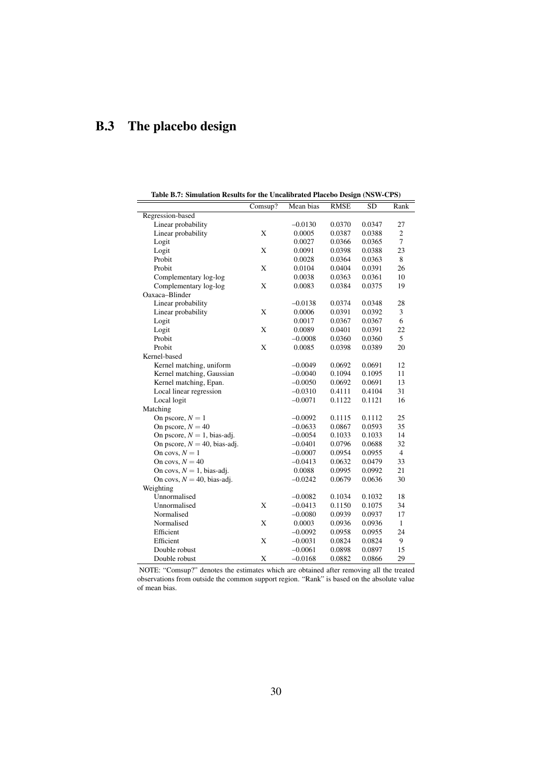# B.3 The placebo design

<span id="page-31-0"></span>

| Table B.7: Simulation Results for the Uncalibrated Placebo Design (NSW-CPS) |         |           |             |        |                |  |
|-----------------------------------------------------------------------------|---------|-----------|-------------|--------|----------------|--|
|                                                                             | Comsup? | Mean bias | <b>RMSE</b> | SD     | Rank           |  |
| Regression-based                                                            |         |           |             |        |                |  |
| Linear probability                                                          |         | $-0.0130$ | 0.0370      | 0.0347 | 27             |  |
| Linear probability                                                          | X       | 0.0005    | 0.0387      | 0.0388 | $\overline{c}$ |  |
| Logit                                                                       |         | 0.0027    | 0.0366      | 0.0365 | $\overline{7}$ |  |
| Logit                                                                       | X       | 0.0091    | 0.0398      | 0.0388 | 23             |  |
| Probit                                                                      |         | 0.0028    | 0.0364      | 0.0363 | 8              |  |
| Probit                                                                      | X       | 0.0104    | 0.0404      | 0.0391 | 26             |  |
| Complementary log-log                                                       |         | 0.0038    | 0.0363      | 0.0361 | 10             |  |
| Complementary log-log                                                       | X       | 0.0083    | 0.0384      | 0.0375 | 19             |  |
| Oaxaca-Blinder                                                              |         |           |             |        |                |  |
| Linear probability                                                          |         | $-0.0138$ | 0.0374      | 0.0348 | 28             |  |
| Linear probability                                                          | X       | 0.0006    | 0.0391      | 0.0392 | 3              |  |
| Logit                                                                       |         | 0.0017    | 0.0367      | 0.0367 | 6              |  |
| Logit                                                                       | X       | 0.0089    | 0.0401      | 0.0391 | 22             |  |
| Probit                                                                      |         | $-0.0008$ | 0.0360      | 0.0360 | 5              |  |
| Probit                                                                      | X       | 0.0085    | 0.0398      | 0.0389 | 20             |  |
| Kernel-based                                                                |         |           |             |        |                |  |
| Kernel matching, uniform                                                    |         | $-0.0049$ | 0.0692      | 0.0691 | 12             |  |
| Kernel matching, Gaussian                                                   |         | $-0.0040$ | 0.1094      | 0.1095 | 11             |  |
| Kernel matching, Epan.                                                      |         | $-0.0050$ | 0.0692      | 0.0691 | 13             |  |
| Local linear regression                                                     |         | $-0.0310$ | 0.4111      | 0.4104 | 31             |  |
| Local logit                                                                 |         | $-0.0071$ | 0.1122      | 0.1121 | 16             |  |
| Matching                                                                    |         |           |             |        |                |  |
| On pscore, $N = 1$                                                          |         | $-0.0092$ | 0.1115      | 0.1112 | 25             |  |
| On pscore, $N = 40$                                                         |         | $-0.0633$ | 0.0867      | 0.0593 | 35             |  |
| On pscore, $N = 1$ , bias-adj.                                              |         | $-0.0054$ | 0.1033      | 0.1033 | 14             |  |
| On pscore, $N = 40$ , bias-adj.                                             |         | $-0.0401$ | 0.0796      | 0.0688 | 32             |  |
| On covs, $N = 1$                                                            |         | $-0.0007$ | 0.0954      | 0.0955 | $\overline{4}$ |  |
| On covs, $N = 40$                                                           |         | $-0.0413$ | 0.0632      | 0.0479 | 33             |  |
| On covs, $N = 1$ , bias-adj.                                                |         | 0.0088    | 0.0995      | 0.0992 | 21             |  |
| On covs, $N = 40$ , bias-adj.                                               |         | $-0.0242$ | 0.0679      | 0.0636 | 30             |  |
| Weighting                                                                   |         |           |             |        |                |  |
| Unnormalised                                                                |         | $-0.0082$ | 0.1034      | 0.1032 | 18             |  |
| Unnormalised                                                                | X       | $-0.0413$ | 0.1150      | 0.1075 | 34             |  |
| Normalised                                                                  |         | $-0.0080$ | 0.0939      | 0.0937 | 17             |  |
| Normalised                                                                  | X       | 0.0003    | 0.0936      | 0.0936 | $\mathbf{1}$   |  |
| Efficient                                                                   |         | $-0.0092$ | 0.0958      | 0.0955 | 24             |  |
| Efficient                                                                   | X       | $-0.0031$ | 0.0824      | 0.0824 | 9              |  |
| Double robust                                                               |         | $-0.0061$ | 0.0898      | 0.0897 | 15             |  |
| Double robust                                                               | X       | $-0.0168$ | 0.0882      | 0.0866 | 29             |  |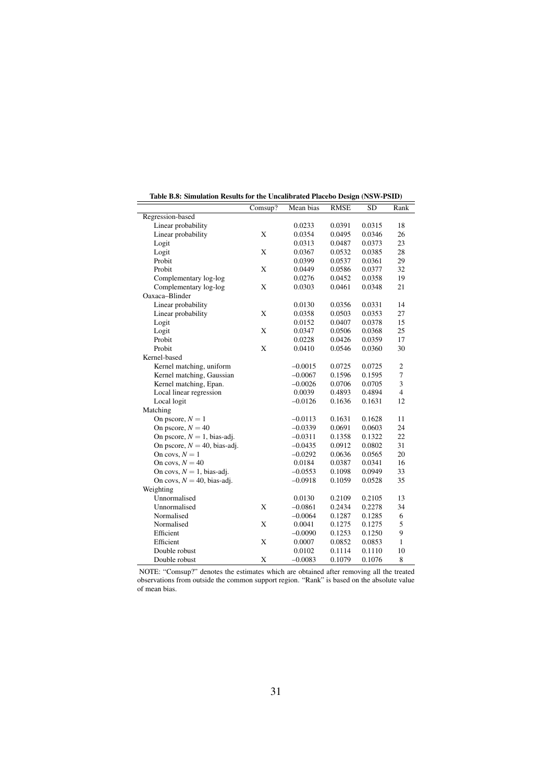<span id="page-32-0"></span>

|                                 | Comsup?     | $mean = \frac{1}{2} \arccos \theta$ $D \cos \theta$ $(1 + \theta + 1)$<br>Mean bias | <b>RMSE</b> | <b>SD</b> | Rank           |
|---------------------------------|-------------|-------------------------------------------------------------------------------------|-------------|-----------|----------------|
| Regression-based                |             |                                                                                     |             |           |                |
| Linear probability              |             | 0.0233                                                                              | 0.0391      | 0.0315    | 18             |
| Linear probability              | X           | 0.0354                                                                              | 0.0495      | 0.0346    | 26             |
| Logit                           |             | 0.0313                                                                              | 0.0487      | 0.0373    | 23             |
| Logit                           | X           | 0.0367                                                                              | 0.0532      | 0.0385    | 28             |
| Probit                          |             | 0.0399                                                                              | 0.0537      | 0.0361    | 29             |
| Probit                          | X           | 0.0449                                                                              | 0.0586      | 0.0377    | 32             |
| Complementary log-log           |             | 0.0276                                                                              | 0.0452      | 0.0358    | 19             |
| Complementary log-log           | X           | 0.0303                                                                              | 0.0461      | 0.0348    | 21             |
| Oaxaca-Blinder                  |             |                                                                                     |             |           |                |
| Linear probability              |             | 0.0130                                                                              | 0.0356      | 0.0331    | 14             |
| Linear probability              | X           | 0.0358                                                                              | 0.0503      | 0.0353    | 27             |
| Logit                           |             | 0.0152                                                                              | 0.0407      | 0.0378    | 15             |
| Logit                           | X           | 0.0347                                                                              | 0.0506      | 0.0368    | 25             |
| Probit                          |             | 0.0228                                                                              | 0.0426      | 0.0359    | 17             |
| Probit                          | $\mathbf X$ | 0.0410                                                                              | 0.0546      | 0.0360    | 30             |
| Kernel-based                    |             |                                                                                     |             |           |                |
| Kernel matching, uniform        |             | $-0.0015$                                                                           | 0.0725      | 0.0725    | $\overline{c}$ |
| Kernel matching, Gaussian       |             | $-0.0067$                                                                           | 0.1596      | 0.1595    | $\overline{7}$ |
| Kernel matching, Epan.          |             | $-0.0026$                                                                           | 0.0706      | 0.0705    | 3              |
| Local linear regression         |             | 0.0039                                                                              | 0.4893      | 0.4894    | $\overline{4}$ |
| Local logit                     |             | $-0.0126$                                                                           | 0.1636      | 0.1631    | 12             |
| Matching                        |             |                                                                                     |             |           |                |
| On pscore, $N = 1$              |             | $-0.0113$                                                                           | 0.1631      | 0.1628    | 11             |
| On pscore, $N = 40$             |             | $-0.0339$                                                                           | 0.0691      | 0.0603    | 24             |
| On pscore, $N = 1$ , bias-adj.  |             | $-0.0311$                                                                           | 0.1358      | 0.1322    | 22             |
| On pscore, $N = 40$ , bias-adj. |             | $-0.0435$                                                                           | 0.0912      | 0.0802    | 31             |
| On covs, $N = 1$                |             | $-0.0292$                                                                           | 0.0636      | 0.0565    | 20             |
| On covs, $N = 40$               |             | 0.0184                                                                              | 0.0387      | 0.0341    | 16             |
| On covs, $N = 1$ , bias-adj.    |             | $-0.0553$                                                                           | 0.1098      | 0.0949    | 33             |
| On covs, $N = 40$ , bias-adj.   |             | $-0.0918$                                                                           | 0.1059      | 0.0528    | 35             |
| Weighting                       |             |                                                                                     |             |           |                |
| Unnormalised                    |             | 0.0130                                                                              | 0.2109      | 0.2105    | 13             |
| Unnormalised                    | X           | $-0.0861$                                                                           | 0.2434      | 0.2278    | 34             |
| Normalised                      |             | $-0.0064$                                                                           | 0.1287      | 0.1285    | 6              |
| Normalised                      | X           | 0.0041                                                                              | 0.1275      | 0.1275    | 5              |
| Efficient                       |             | $-0.0090$                                                                           | 0.1253      | 0.1250    | 9              |
| Efficient                       | X           | 0.0007                                                                              | 0.0852      | 0.0853    | 1              |
| Double robust                   |             | 0.0102                                                                              | 0.1114      | 0.1110    | 10             |
| Double robust                   | X           | $-0.0083$                                                                           | 0.1079      | 0.1076    | 8              |

Table B.8: Simulation Results for the Uncalibrated Placebo Design (NSW-PSID)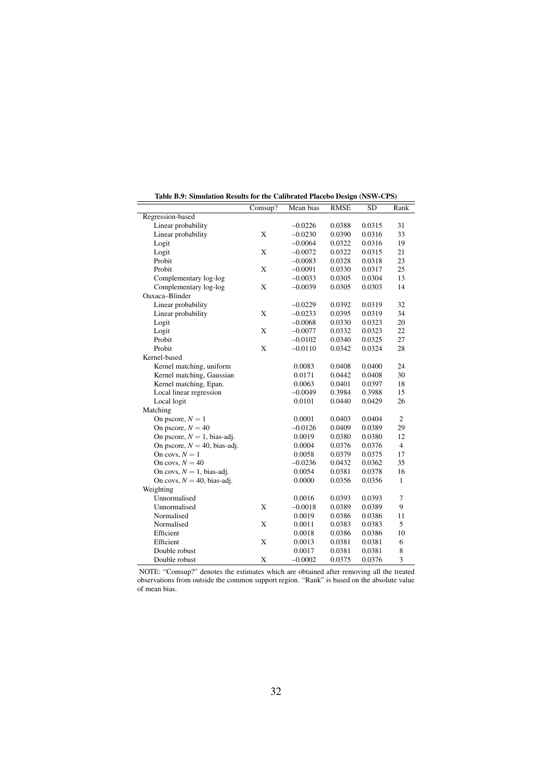<span id="page-33-0"></span>

|                                 | Comsup? | canonated 1 accoo Design (150 $\mu$ Cr $\sigma$ )<br>Mean bias | <b>RMSE</b> | <b>SD</b> | Rank           |
|---------------------------------|---------|----------------------------------------------------------------|-------------|-----------|----------------|
| Regression-based                |         |                                                                |             |           |                |
| Linear probability              |         | $-0.0226$                                                      | 0.0388      | 0.0315    | 31             |
| Linear probability              | X       | $-0.0230$                                                      | 0.0390      | 0.0316    | 33             |
| Logit                           |         | $-0.0064$                                                      | 0.0322      | 0.0316    | 19             |
| Logit                           | X       | $-0.0072$                                                      | 0.0322      | 0.0315    | 21             |
| Probit                          |         | $-0.0083$                                                      | 0.0328      | 0.0318    | 23             |
| Probit                          | X       | $-0.0091$                                                      | 0.0330      | 0.0317    | 25             |
| Complementary log-log           |         | $-0.0033$                                                      | 0.0305      | 0.0304    | 13             |
| Complementary log-log           | X       | $-0.0039$                                                      | 0.0305      | 0.0303    | 14             |
| Oaxaca-Blinder                  |         |                                                                |             |           |                |
| Linear probability              |         | $-0.0229$                                                      | 0.0392      | 0.0319    | 32             |
| Linear probability              | X       | $-0.0233$                                                      | 0.0395      | 0.0319    | 34             |
| Logit                           |         | $-0.0068$                                                      | 0.0330      | 0.0323    | 20             |
| Logit                           | X       | $-0.0077$                                                      | 0.0332      | 0.0323    | 22             |
| Probit                          |         | $-0.0102$                                                      | 0.0340      |           | 27             |
| Probit                          | X       | $-0.0110$                                                      | 0.0342      | 0.0325    |                |
|                                 |         |                                                                |             | 0.0324    | 28             |
| Kernel-based                    |         |                                                                | 0.0408      |           | 24             |
| Kernel matching, uniform        |         | 0.0083                                                         |             | 0.0400    | 30             |
| Kernel matching, Gaussian       |         | 0.0171                                                         | 0.0442      | 0.0408    |                |
| Kernel matching, Epan.          |         | 0.0063                                                         | 0.0401      | 0.0397    | 18             |
| Local linear regression         |         | $-0.0049$                                                      | 0.3984      | 0.3988    | 15             |
| Local logit                     |         | 0.0101                                                         | 0.0440      | 0.0429    | 26             |
| Matching                        |         |                                                                |             |           |                |
| On pscore, $N = 1$              |         | 0.0001                                                         | 0.0403      | 0.0404    | $\mathbf{2}$   |
| On pscore, $N = 40$             |         | $-0.0126$                                                      | 0.0409      | 0.0389    | 29             |
| On pscore, $N = 1$ , bias-adj.  |         | 0.0019                                                         | 0.0380      | 0.0380    | 12             |
| On pscore, $N = 40$ , bias-adj. |         | 0.0004                                                         | 0.0376      | 0.0376    | $\overline{4}$ |
| On covs, $N = 1$                |         | 0.0058                                                         | 0.0379      | 0.0375    | 17             |
| On covs, $N = 40$               |         | $-0.0236$                                                      | 0.0432      | 0.0362    | 35             |
| On covs, $N = 1$ , bias-adj.    |         | 0.0054                                                         | 0.0381      | 0.0378    | 16             |
| On covs, $N = 40$ , bias-adj.   |         | 0.0000                                                         | 0.0356      | 0.0356    | $\mathbf{1}$   |
| Weighting                       |         |                                                                |             |           |                |
| Unnormalised                    |         | 0.0016                                                         | 0.0393      | 0.0393    | 7              |
| Unnormalised                    | X       | $-0.0018$                                                      | 0.0389      | 0.0389    | 9              |
| Normalised                      |         | 0.0019                                                         | 0.0386      | 0.0386    | 11             |
| Normalised                      | X       | 0.0011                                                         | 0.0383      | 0.0383    | 5              |
| Efficient                       |         | 0.0018                                                         | 0.0386      | 0.0386    | 10             |
| Efficient                       | X       | 0.0013                                                         | 0.0381      | 0.0381    | 6              |
| Double robust                   |         | 0.0017                                                         | 0.0381      | 0.0381    | 8              |
| Double robust                   | X       | $-0.0002$                                                      | 0.0375      | 0.0376    | 3              |